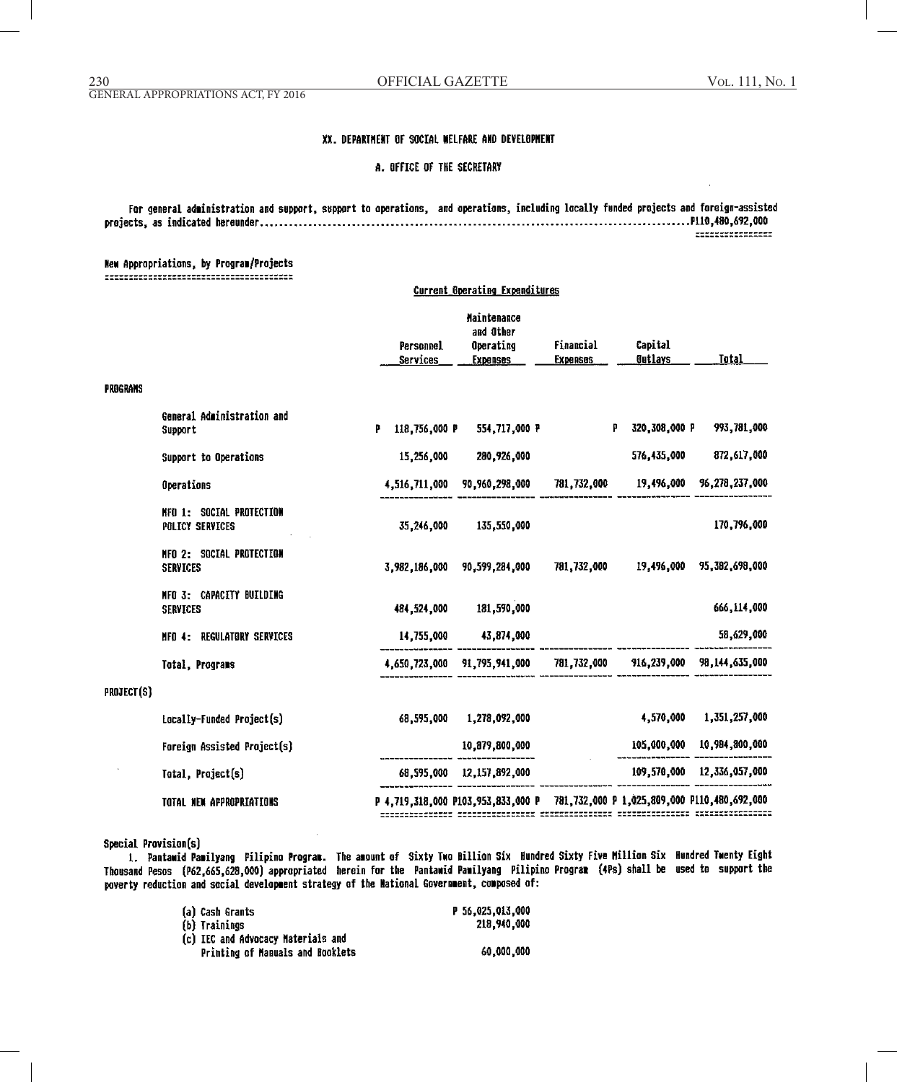# XX. DEPARTMENT OF SOCIAL WELFARE AND DEVELOPMENT

A. OFFICE OF THE SECRETARY

For general administration and support, support to operations, and operations, including locally funded projects and foreign-assisted -----------------

**Current Operating Expenditures** 

# **Hew Appropriations, by Program/Projects**

|            |                                                    | Personnel<br><b>Services</b>    | Maintenance<br>and Other<br>Operating<br><b>Expenses</b>                        | Financial<br><b>Expenses</b> | Capital<br><b>Outlays</b>              | Total                      |
|------------|----------------------------------------------------|---------------------------------|---------------------------------------------------------------------------------|------------------------------|----------------------------------------|----------------------------|
| PROGRAMS   |                                                    |                                 |                                                                                 |                              |                                        |                            |
|            | General Administration and<br>Support              | p<br>118,756,000 P              | 554,717,000 P                                                                   | P                            | 320,308,000 P                          | 993,781,000                |
|            | Support to Operations                              | 15,256,000                      | 280,926,000                                                                     |                              | 576,435,000                            | 872,617,000                |
|            | Operations                                         | 4,516,711,000                   | 90,960,298,000                                                                  |                              | 781,732,000 19,496,000                 | 96,278,237,000             |
|            | <b>NFO 1: SOCIAL PROTECTION</b><br>POLICY SERVICES | 35,246,000                      | 135,550,000                                                                     |                              |                                        | 170,796,000                |
|            | MFO 2: SOCIAL PROTECTION<br><b>SERVICES</b>        | 3,982,186,000                   | 90,599,284,000                                                                  | 781,732,000                  |                                        | 19,496,000 95,382,698,000  |
|            | MFO 3: CAPACITY BUILDING<br><b>SERVICES</b>        |                                 | 484,524,000 181,590,000                                                         |                              |                                        | 666,114,000                |
|            | MFO 4: REGULATORY SERVICES                         | 14,755,000                      | 43,874,000                                                                      |                              |                                        | 58,629,000                 |
|            | Total, Programs                                    |                                 | 4,650,723,000 91,795,941,000                                                    |                              | 781,732,000 916,239,000 98,144,635,000 |                            |
| PROJECT(S) |                                                    |                                 |                                                                                 |                              |                                        |                            |
|            | Locally-Funded Project(s)                          | 68.595.000                      | 1,278,092,000                                                                   |                              | 4,570,000                              | 1,351,257,000              |
|            | Foreign Assisted Project(s)                        | ------------ ---- <b>------</b> | 10,879,800,000                                                                  |                              |                                        | 105,000,000 10,984,800,000 |
|            | Total, Project(s)                                  |                                 | 68,595,000 12,157,892,000                                                       |                              | 109,570,000 12,336,057,000             |                            |
|            | TOTAL NEW APPROPRIATIONS                           |                                 | P 4,719,318,000 P103,953,833,000 P 781,732,000 P 1,025,809,000 P110,480,692,000 |                              |                                        |                            |

Special Provision(s)

1. Pantawid Pamilyang Pilipino Program. The amount of Sixty Two Billion Six Hundred Sixty Five Million Six Hundred Twenty Eight Thousand Pesos (P62,665,628,000) appropriated herein for the Pantawid Pamilyang Pilipino Program (4Ps) shall be used to support the poverty reduction and social development strategy of the National Government, composed of:

| a) Cash Grants                    | P 56.025.013.000 |
|-----------------------------------|------------------|
| b) Trainings                      | 218.940.000      |
| c) IEC and Advocacy Materials and |                  |
| Printing of Manuals and Booklets  | 60.000.000       |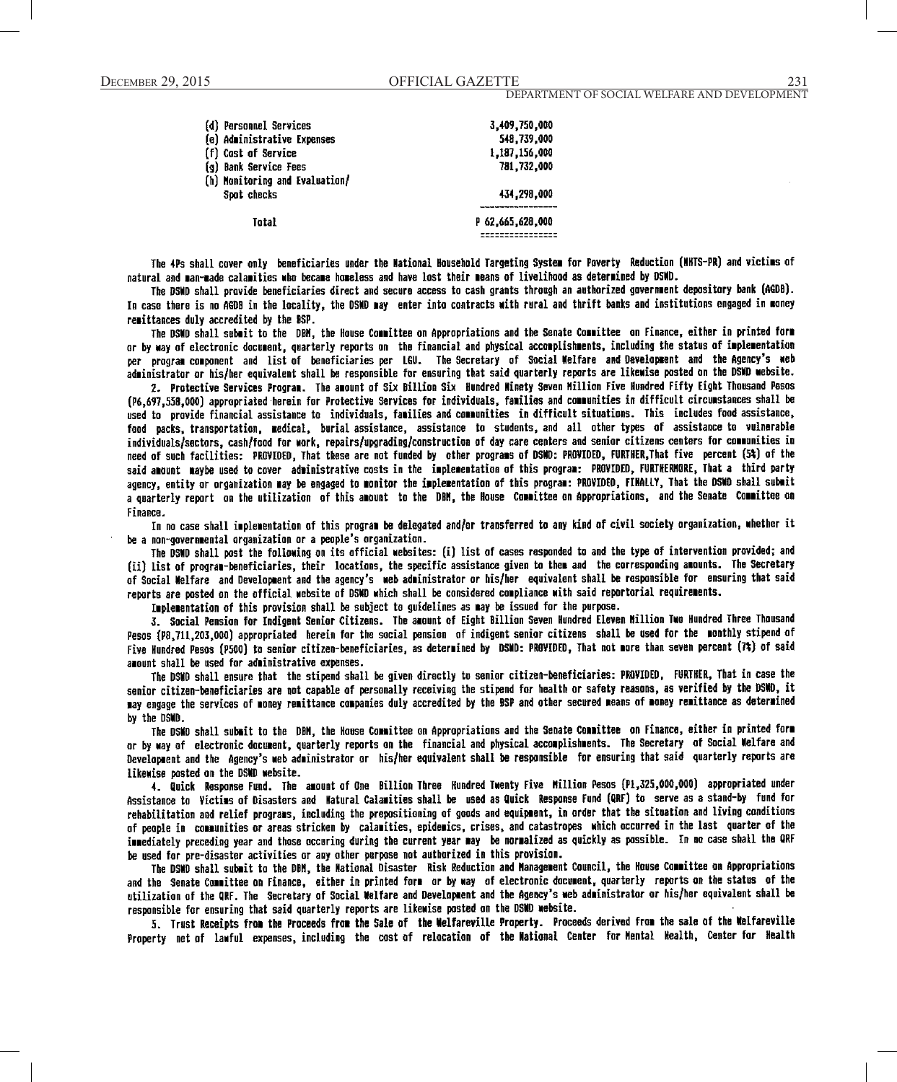| (d) Personnel Services<br>(e) Administrative Expenses | 3,409,750,000<br>548,739,000 |
|-------------------------------------------------------|------------------------------|
| (f) Cost of Service                                   | 1,187,156,000                |
| (g) Bank Service Fees                                 | 781.732.000                  |
| (h) Monitoring and Evaluation/                        |                              |
| Spot checks                                           | 434,298,000                  |
|                                                       |                              |
| Total                                                 | P 62.665.628.000             |
|                                                       |                              |

The 4Ps shall cover only beneficiaries under the National Household Targeting System for Poverty Reduction (NHTS-PR) and victims of natural and man-made calamities who became homeless and have lost their means of livelihood as determined by DSMD.

The DSMD shall provide beneficiaries direct and secure access to cash grants through an authorized government depository bank (AGDB). In case there is no AGDB in the locality, the DSND may enter into contracts with rural and thrift banks and institutions engaged in money remittances duly accredited by the BSP.

The DSMD shall submit to the DBM, the House Committee on Appropriations and the Senate Committee on Finance, either in printed form or by way of electronic document, quarterly reports on the financial and physical accomplishments, including the status of implementation per program component and list of beneficiaries per LGU. The Secretary of Social Welfare and Development and the Agency's web administrator or his/her equivalent shall be responsible for ensuring that said quarterly reports are likewise posted on the DSMD website.

2. Protective Services Program. The amount of Six Billion Six Hundred Minety Seven Million Five Hundred Fifty Eight Thousand Pesos (P6.697.558.000) appropriated herein for Protective Services for individuals, families and communities in difficult circumstances shall be used to provide financial assistance to individuals, families and communities in difficult situations. This includes food assistance, food packs, transportation, medical, burial assistance, assistance to students, and all other types of assistance to vulnerable individuals/sectors, cash/food for work, repairs/upgrading/construction of day care centers and senior citizens centers for communities in need of such facilities: PROVIDED, That these are not funded by other programs of DSMD: PROVIDED, FURTHER, That five percent (5%) of the said amount maybe used to cover administrative costs in the implementation of this program: PROVIDED, FURTHERMORE, That a third party agency, entity or organization may be engaged to monitor the implementation of this program: PROVIDED, FIMALLY, That the DSMD shall submit a quarterly report on the utilization of this amount to the DBM, the House Committee on Appropriations, and the Senate Committee on Finance.

...<br>In no case shall implementation of this program be delegated and/or transferred to any kind of civil society organization, whether it be a non-governmental organization or a people's organization.

The DSWD shall post the following on its official websites: (i) list of cases responded to and the type of intervention provided; and (ii) list of program-beneficiaries, their locations, the specific assistance given to them and the corresponding amounts. The Secretary of Social Welfare and Development and the agency's web administrator or his/her equivalent shall be responsible for ensuring that said reports are posted on the official website of DSWD which shall be considered compliance with said reportorial requirements.

Implementation of this provision shall be subject to guidelines as may be issued for the purpose.

3. Social Pension for Indigent Senior Citizens. The amount of Eight Billion Seven Hundred Eleven Million Two Hundred Three Thousand Pesos (P8,711,203,000) appropriated herein for the social pension of indigent senior citizens shall be used for the monthly stipend of Five Hundred Pesos (P500) to senior citizen-beneficiaries, as determined by DSMD: PROVIDED, That not more than seven percent (7%) of said amount shall be used for administrative expenses.

The DSMO shall ensure that the stipend shall be given directly to senior citizen-beneficiaries: PROVIDED, FURTHER, That in case the senior citizen-beneficiaries are not capable of personally receiving the stipend for health or safety reasons, as verified by the DSWD, it may engage the services of money remittance companies duly accredited by the BSP and other secured means of money remittance as determined by the DSMD.

The DSMD shall submit to the DBM, the House Committee on Appropriations and the Senate Committee on Finance, either in printed form or by way of electronic document, quarterly reports on the financial and physical accomplishments. The Secretary of Social Welfare and Development and the Agency's web administrator or his/her equivalent shall be responsible for ensuring that said quarterly reports are likewise posted on the DSMD website.

4. Quick Response Fund. The amount of One Billion Three Hundred Twenty Five Million Pesos (P1,325,000,000) appropriated under Assistance to Victims of Disasters and Watural Calamities shall be used as Quick Response Fund (QRF) to serve as a stand-by fund for rehabilitation and relief programs, including the prepositioning of goods and equipment, in order that the situation and living conditions of people in communities or areas stricken by calamities, epidemics, crises, and catastropes which occurred in the last quarter of the immediately preceding year and those occuring during the current year may be normalized as quickly as possible. In no case shall the QRF be used for pre-disaster activities or any other purpose not authorized in this provision.

The DSWD shall submit to the DBM, the Mational Disaster Risk Reduction and Management Council, the House Committee on Appropriations and the Senate Committee on Finance, either in printed form or by way of electronic document, quarterly reports on the status of the utilization of the QRF. The Secretary of Social Welfare and Development and the Agency's web administrator or his/her equivalent shall be responsible for ensuring that said quarterly reports are likewise posted on the DSMD website.

5. Trust Receipts from the Proceeds from the Sale of the Welfareville Property. Proceeds derived from the sale of the Welfareville Property net of lawful expenses, including the cost of relocation of the Mational Center for Mental Health, Center for Health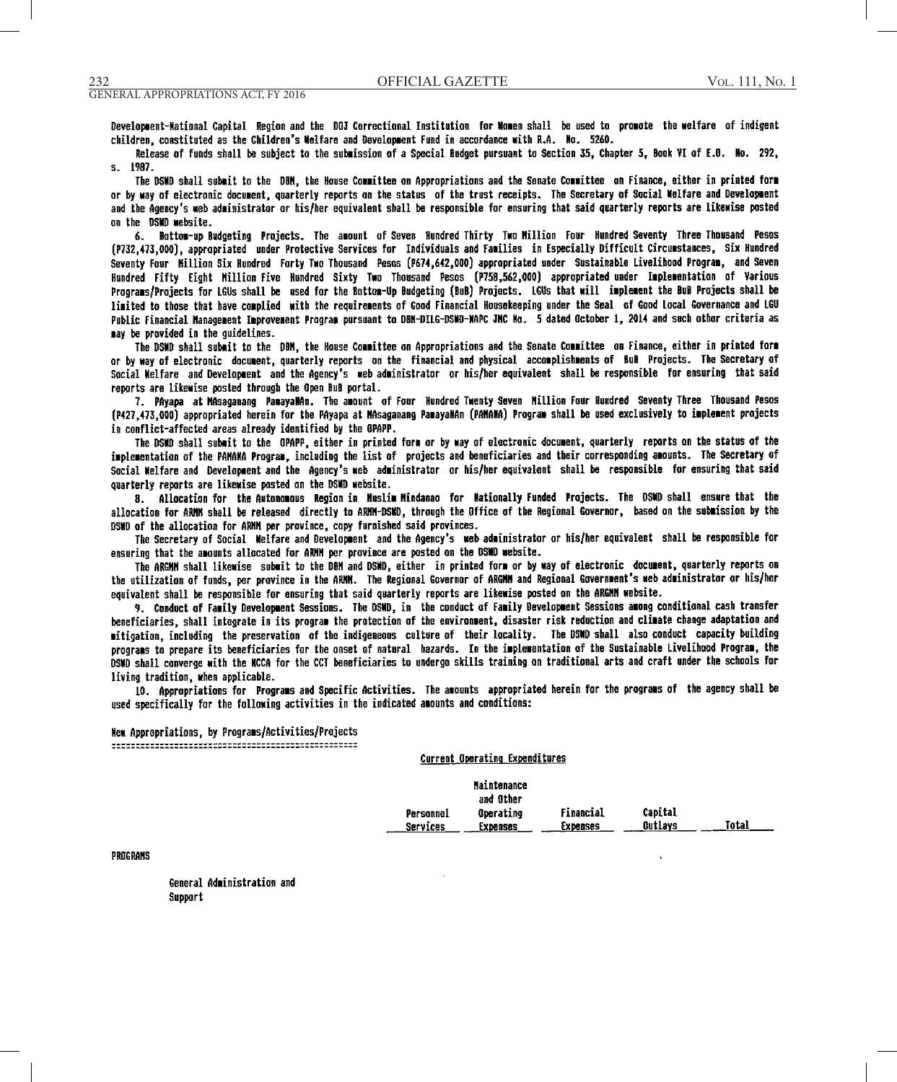Development-Mational Capital Region and the DOJ Correctional Institution for Momen shall be used to promote the welfare of indigent children, constituted as the Children's Welfare and Development Fund in accordance with R.A. No. 5260.

Release of funds shall be subject to the submission of a Special Budget pursuant to Section 35, Chapter 5, Book VI of E.O. No. 292, s. 1987.

The DSWD shall submit to the DBM, the House Committee on Appropriations and the Senate Committee on Finance, either in printed form or by way of electronic document, quarterly reports on the status of the trust receipts. The Secretary of Social Welfare and Development and the Agency's web administrator or his/her equivalent shall be responsible for ensuring that said quarterly reports are likewise posted on the DSMD website.

6. Bottom-up Budgeting Projects. The amount of Seven Hundred Thirty Two Million Four Hundred Seventy Three Thousand Pesos (P732,473,000), appropriated under Protective Services for Individuals and Families in Especially Difficult Circumstances, Six Hundred Seventy Four Million Six Hundred Forty Two Thousand Pesos (P674,642,000) appropriated under Sustainable Livelihood Program, and Seven Hundred Fifty Eight Million Five Hundred Sixty Two Thousand Pesos (P758,562,000) appropriated under Implementation of Various Programs/Projects for LGUs shall be used for the Bottom-Up Budgeting (BuB) Projects. LGUs that will implement the BuB Projects shall be limited to those that have complied with the requirements of Good Financial Housekeeping under the Seal of Good Local Governance and LGU Public Financial Management Improvement Program pursuant to DBM-DILG-DSWD-MAPC JMC No. 5 dated October 1, 2014 and such other criteria as may be provided in the quidelines.

The DSMD shall submit to the DBM, the House Committee on Appropriations and the Senate Committee on Finance, either in printed form or by way of electronic document, quarterly reports on the financial and physical accomplishments of BuB Projects. The Secretary of Social Welfare and Development and the Agency's web administrator or his/her equivalent shall be responsible for ensuring that said reports are likewise posted through the Open BuB portal.

7. PAyapa at MAsaganang PanayaNAn. The amount of Four Hundred Twenty Seven Million Four Hundred Seventy Three Thousand Pesos (P427,473,000) appropriated herein for the PAyapa at MAsaganang PamayaMAn (PAMAMA) Program shall be used exclusively to implement projects in conflict-affected areas already identified by the OPAPP.

The DSMD shall submit to the OPAPP, either in printed form or by way of electronic document, quarterly reports on the status of the implementation of the PANAWA Program, including the list of projects and beneficiaries and their corresponding amounts. The Secretary of Social Welfare and Development and the Agency's web administrator or his/her equivalent shall be responsible for ensuring that said quarterly reports are likewise posted on the DSMD website.

8. Allocation for the Autonomous Region in Muslim Mindanao for Mationally Funded Projects. The DSWD shall ensure that the allocation for ARMM shall be released directly to ARMM-DSWD, through the Office of the Regional Governor, based on the submission by the DSMD of the allocation for ARMM per province, copy furnished said provinces.

The Secretary of Social Welfare and Development and the Agency's web administrator or his/her equivalent shall be responsible for ensuring that the amounts allocated for ARMM per province are posted on the DSMD website.

The ARGMM shall likewise submit to the DBM and DSMD, either in printed form or by way of electronic document, quarterly reports on the utilization of funds, per province in the ARMM. The Regional Governor of ARGMM and Regional Government's web administrator or his/her equivalent shall be responsible for ensuring that said quarterly reports are likewise posted on the ARGNM website.

9. Conduct of Family Development Sessions. The DSND, in the conduct of Family Development Sessions among conditional cash transfer beneficiaries, shall integrate in its program the protection of the environment, disaster risk reduction and climate change adaptation and mitigation, including the preservation of the indigeneous culture of their locality. The DSWD shall also conduct capacity building programs to prepare its beneficiaries for the onset of natural hazards. In the implementation of the Sustainable Livelihood Program, the DSND shall converge with the NCCA for the CCT beneficiaries to undergo skills training on traditional arts and craft under the schools for living tradition, when applicable.

10. Appropriations for Programs and Specific Activities. The amounts appropriated herein for the programs of the agency shall be used specifically for the following activities in the indicated amounts and conditions:

Current Operating Expenditures

# New Appropriations, by Programs/Activities/Projects

|                 | <b>Maintenance</b><br>and Other |                 |                |       |
|-----------------|---------------------------------|-----------------|----------------|-------|
| Personnel       | Operating                       | Financial       | Capital        |       |
| <b>Services</b> | Expenses                        | <b>Expenses</b> | <b>Cutlays</b> | Total |

#### PROGRAMS

General Administration and Support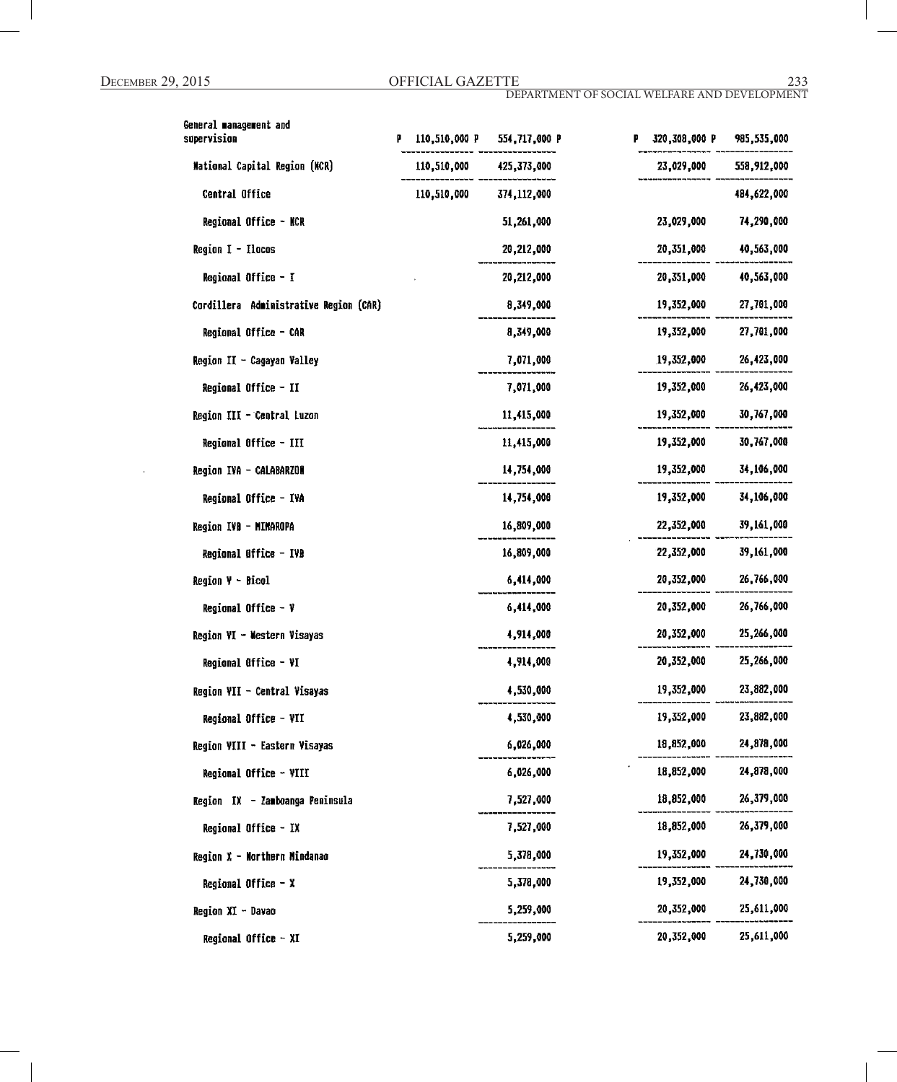| General management and<br>supervision  | 110,510,000 P | 554,717,000 P | 320,308,000 P | 985,535,000 |
|----------------------------------------|---------------|---------------|---------------|-------------|
| <b>Mational Capital Region (MCR)</b>   | 110,510,000   | 425,373,000   | 23,029,000    | 558,912,000 |
| Central Office                         | 110,510,000   | 374,112,000   |               | 484,622,000 |
| Regional Office - NCR                  |               | 51,261,000    | 23,029,000    | 74,290,000  |
| Region $I - I$ locos                   |               | 20,212,000    | 20,351,000    | 40,563,000  |
| Regional Office - I                    |               | 20,212,000    | 20,351,000    | 40,563,000  |
| Cordillera Administrative Region (CAR) |               | 8,349,000     | 19,352,000    | 27,701,000  |
| Regional Office - CAR                  |               | 8,349,000     | 19,352,000    | 27,701,000  |
| Region II - Cagayan Valley             |               | 7,071,000     | 19,352,000    | 26,423,000  |
| Regional Office - II                   |               | 7,071,000     | 19,352,000    | 26,423,000  |
| Region III - Central Luzon             |               | 11,415,000    | 19,352,000    | 30,767,000  |
| Regional Office - III                  |               | 11,415,000    | 19,352,000    | 30,767,000  |
| Region IVA - CALABARZON                |               | 14,754,000    | 19,352,000    | 34,106,000  |
| Regional Office - IVA                  |               | 14,754,000    | 19,352,000    | 34,106,000  |
| Region IVB - MINAROPA                  |               | 16,809,000    | 22,352,000    | 39,161,000  |
| Regional Office - IVB                  |               | 16,809,000    | 22,352,000    | 39,161,000  |
| Region V - Bicol                       |               | 6,414,000     | 20,352,000    | 26,766,000  |
| Regional Office - $V$                  |               | 6,414,000     | 20,352,000    | 26,766,000  |
| Region VI - Western Visayas            |               | 4,914,000     | 20,352,000    | 25,266,000  |
| Regional Office - VI                   |               | 4,914,000     | 20,352,000    | 25,266,000  |
| Region VII - Central Visayas           |               | 4,530,000     | 19,352,000    | 23,882,000  |
| Regional Office - VII                  |               | 4,530,000     | 19,352,000    | 23,882,000  |
| Region VIII - Eastern Visayas          |               | 6,026,000     | 18,852,000    | 24,878,000  |
| Regional Office - VIII                 |               | 6,026,000     | 18,852,000    | 24,878,000  |
| Region IX - Zamboanga Peninsula        |               | 7,527,000     | 18,852,000    | 26,379,000  |
| Regional Office - IX                   |               | 7,527,000     | 18,852,000    | 26,379,000  |
| Region X - Northern Mindanao           |               | 5,378,000     | 19,352,000    | 24,730,000  |
| Regional Office $- x$                  |               | 5,378,000     | 19,352,000    | 24,730,000  |
| Region XI - Davao                      |               | 5,259,000     | 20,352,000    | 25,611,000  |
| Regional Office - XI                   |               | 5,259,000     | 20,352,000    | 25,611,000  |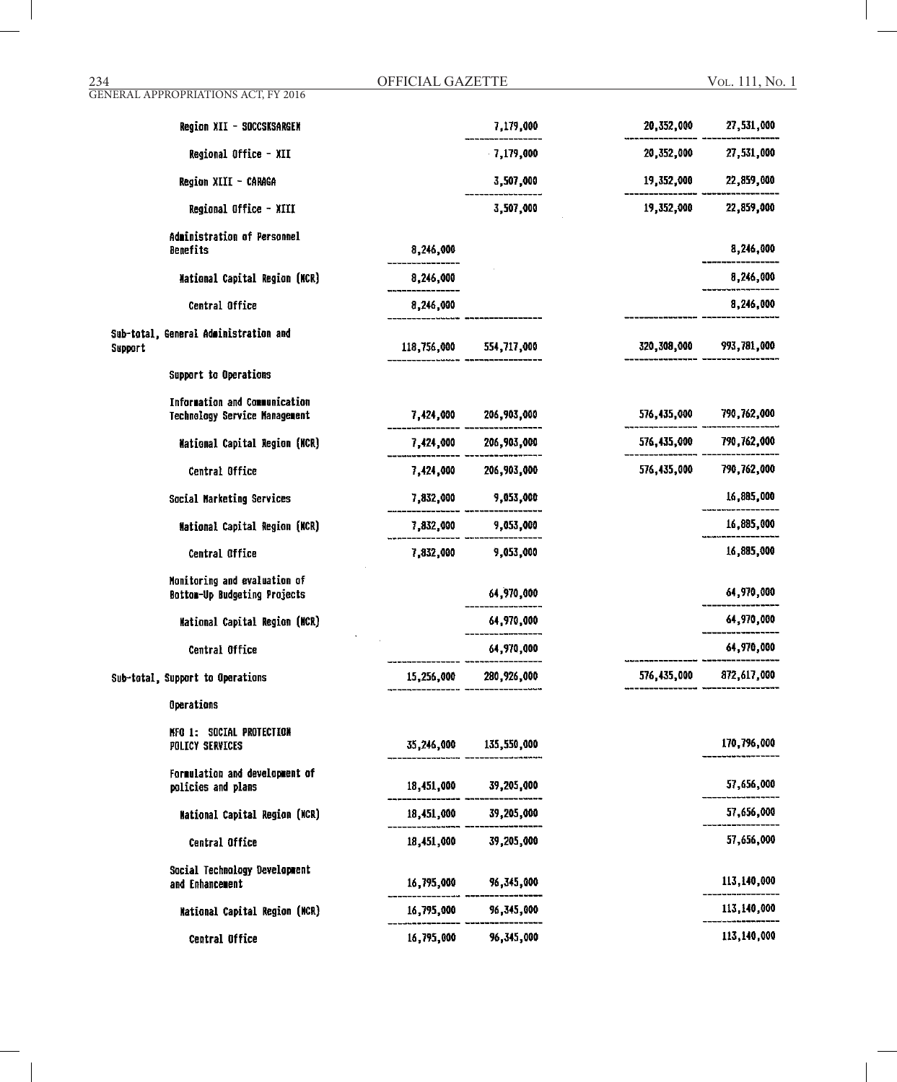234 OFFICIAL GAZETTE GENERAL APPROPRIATIONS ACT, FY 2016

Vol. 111, No. 1

| Region XII - SOCCSKSARGEN                                      |             | 7,179,000              | 20,352,000  | 27,531,000  |
|----------------------------------------------------------------|-------------|------------------------|-------------|-------------|
| Regional Office - XII                                          |             | 7,179,000              | 20,352,000  | 27,531,000  |
| Region XIII - CARAGA                                           |             | 3,507,000              | 19,352,000  | 22,859,000  |
| Regional Office - XIII                                         |             | 3,507,000              | 19,352,000  | 22,859,000  |
| Administration of Personnel<br>Benefits                        | 8,246,000   |                        |             | 8,246,000   |
| National Capital Region (MCR)                                  | 8,246,000   |                        |             | 8,246,000   |
| Central Office                                                 | 8,246,000   |                        |             | 8,246,000   |
| Sub-total, General Administration and<br>Support               | 118,756,000 | 554,717,000            | 320,308,000 | 993,781,000 |
| Support to Operations                                          |             |                        |             |             |
| Information and Communication<br>Technology Service Management | 7,424,000   | 206,903,000            | 576,435,000 | 790,762,000 |
| <b>Mational Capital Region (NCR)</b>                           |             | 7,424,000 206,903,000  | 576,435,000 | 790,762,000 |
| Central Office                                                 | 7,424,000   | 206,903,000            | 576,435,000 | 790,762,000 |
| Social Marketing Services                                      | 7,832,000   | 9,053,000              |             | 16,885,000  |
| Mational Capital Region (NCR)                                  |             | 7,832,000 9,053,000    |             | 16,885,000  |
| Central Office                                                 | 7,832,000   | 9,053,000              |             | 16,885,000  |
| Monitoring and evaluation of<br>Bottom-Up Budgeting Projects   |             | 64,970,000             |             | 64,970,000  |
| Mational Capital Region (NCR)                                  |             | 64,970,000             |             | 64,970,000  |
| Central Office                                                 |             | 64,970,000             |             | 64,970,000  |
| Sub-total, Support to Operations                               | 15,256,000  | 280,926,000            | 576,435,000 | 872,617,000 |
| Operations                                                     |             |                        |             |             |
| NFO 1: SOCIAL PROTECTION<br>POLICY SERVICES                    |             | 35,246,000 135,550,000 |             | 170,796,000 |
| Formulation and development of<br>policies and plans           | 18,451,000  | 39,205,000             |             | 57,656,000  |
| National Capital Region (NCR)                                  | 18,451,000  | 39,205,000             |             | 57,656,000  |
| Central Office                                                 | 18,451,000  | 39,205,000             |             | 57,656,000  |
| Social Technology Development<br>and Enhancement               | 16,795,000  | 96,345,000             |             | 113,140,000 |
| National Capital Region (NCR)                                  | 16,795,000  | 96,345,000             |             | 113,140,000 |
| Central Office                                                 | 16,795,000  | 96,345,000             |             | 113,140,000 |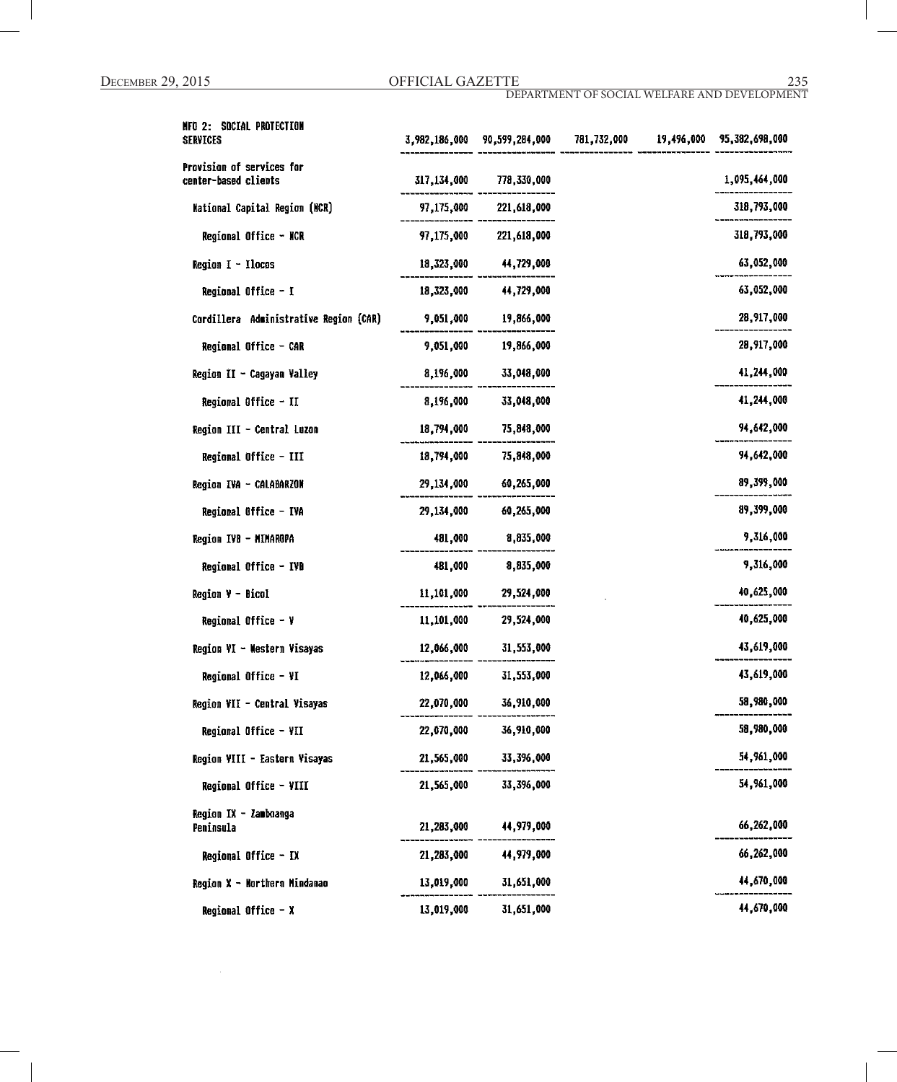| NFO 2: SOCIAL PROTECTION<br><b>SERVICES</b>       |             | 3,982,186,000 90,599,284,000 | 781,732,000 | 19,496,000 | 95,382,698,000 |
|---------------------------------------------------|-------------|------------------------------|-------------|------------|----------------|
| Provision of services for<br>center-based clients | 317,134,000 | 778,330,000                  |             |            | 1,095,464,000  |
| <b>Mational Capital Region (MCR)</b>              | 97,175,000  | 221,618,000                  |             |            | 318,793,000    |
| Regional Office - NCR                             |             | 97,175,000 221,618,000       |             |            | 318,793,000    |
| Region $I - I$ locos                              | 18,323,000  | 44,729,000                   |             |            | 63,052,000     |
| Regional Office - I                               | 18,323,000  | 44,729,000                   |             |            | 63,052,000     |
| Cordillera Administrative Region (CAR)            | 9,051,000   | 19,866,000                   |             |            | 28,917,000     |
| Regional Office - CAR                             | 9,051,000   | 19,866,000                   |             |            | 28,917,000     |
| Region II - Cagayan Valley                        | 8,196,000   | 33,048,000                   |             |            | 41,244,000     |
| Regional Office - II                              | 8,196,000   | 33,048,000                   |             |            | 41,244,000     |
| Region III - Central Luzon                        | 18,794,000  | 75,848,000                   |             |            | 94,642,000     |
| Regional Office - III                             | 18,794,000  | 75,848,000                   |             |            | 94,642,000     |
| Region IVA - CALABARZON                           | 29,134,000  | 60,265,000                   |             |            | 89,399,000     |
| Regional Office - IVA                             | 29,134,000  | 60,265,000                   |             |            | 89,399,000     |
| Region IVB - MIMAROPA                             | 481,000     | 8,835,000                    |             |            | 9,316,000      |
| Regional Office - IVD                             | 481,000     | 8,835,000                    |             |            | 9,316,000      |
| <b>Region <math>Y - Bicol</math></b>              | 11,101,000  | 29,524,000                   |             |            | 40,625,000     |
| Regional Office - V                               | 11,101,000  | 29,524,000                   |             |            | 40,625,000     |
| Region VI - Mestern Visayas                       | 12,066,000  | 31,553,000                   |             |            | 43,619,000     |
| Regional Office - VI                              | 12,066,000  | 31,553,000                   |             |            | 43,619,000     |
| Region VII - Central Visayas                      | 22,070,000  | 36,910,000                   |             |            | 58,980,000     |
| Regional Office - VII                             | 22,070,000  | 36,910,000                   |             |            | 58,980,000     |
| Region VIII - Eastern Visayas                     | 21,565,000  | 33,396,000                   |             |            | 54,961,000     |
| Regional Office - VIII                            | 21,565,000  | 33,396,000                   |             |            | 54,961,000     |
| Region IX - Zamboanga<br>Peninsula                | 21,283,000  | 44,979,000                   |             |            | 66,262,000     |
| Regional Office - IX                              | 21,283,000  | 44,979,000                   |             |            | 66,262,000     |
| Region X - Northern Mindanao                      | 13,019,000  | 31,651,000                   |             |            | 44,670,000     |
| Regional Office - X                               | 13,019,000  | 31,651,000                   |             |            | 44,670,000     |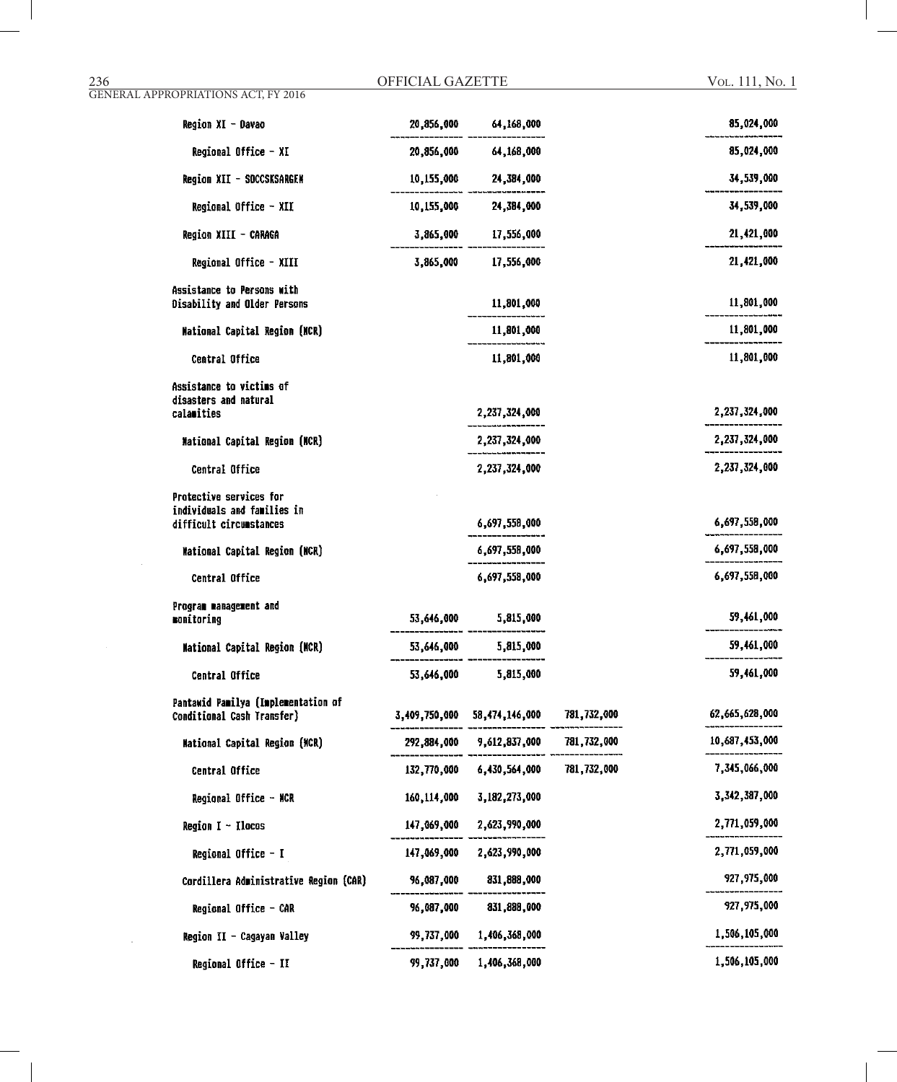#### 236 OFFICIAL GAZETTE GENERAL APPROPRIATIONS ACT, FY 2016

| Region XI - Davao                                                                        | 20,856,000  | 64,168,000                   |             | 85,024,000     |
|------------------------------------------------------------------------------------------|-------------|------------------------------|-------------|----------------|
| Regional Office - XI                                                                     |             | 20,856,000 64,168,000        |             | 85,024,000     |
| Region XII - SOCCSKSARGEN                                                                |             | 10,155,000 24,384,000        |             | 34,539,000     |
| Regional Office - XII                                                                    |             | 10,155,000 24,384,000        |             | 34,539,000     |
| Region XIII - CARAGA                                                                     | 3,865,000   | 17,556,000                   |             | 21,421,000     |
| Regional Office - XIII                                                                   | 3,865,000   | 17,556,000                   |             | 21,421,000     |
| Assistance to Persons with<br>Disability and Older Persons                               |             | 11,801,000                   |             | 11,801,000     |
| <b>Mational Capital Region (NCR)</b>                                                     |             | 11,801,000                   |             | 11,801,000     |
| Central Office                                                                           |             | 11,801,000                   |             | 11,801,000     |
| Assistance to victims of<br>disasters and natural<br>calamities                          |             | 2,237,324,000                |             | 2,237,324,000  |
| <b>Mational Capital Region (NCR)</b>                                                     |             | 2,237,324,000                |             | 2,237,324,000  |
| Central Office                                                                           |             | 2,237,324,000                |             | 2,237,324,000  |
| <b>Protective services for</b><br>individuals and families in<br>difficult circumstances |             | 6,697,558,000                |             | 6,697,558,000  |
| <b>Mational Capital Region (NCR)</b>                                                     |             | 6,697,558,000                |             | 6,697,558,000  |
| Central Office                                                                           |             | 6,697,558,000                |             | 6,697,558,000  |
| Program management and<br>monitoring                                                     |             | 53,646,000 5,815,000         |             | 59,461,000     |
| <b>Mational Capital Region (MCR)</b>                                                     |             | 53,646,000 5,815,000         |             | 59,461,000     |
| <b>Central Office</b>                                                                    | 53,646,000  | 5,815,000                    |             | 59,461,000     |
| Pantawid Pamilya (Implementation of<br>Conditional Cash Transfer)                        |             | 3,409,750,000 58,474,146,000 | 781,732,000 | 62,665,628,000 |
| <b>Mational Capital Region (MCR)</b>                                                     |             | 292,884,000 9,612,837,000    | 781,732,000 | 10,687,453,000 |
| Central Office                                                                           | 132,770,000 | 6,430,564,000                | 781,732,000 | 7,345,066,000  |
| Regional Office - NCR                                                                    | 160,114,000 | 3,182,273,000                |             | 3,342,387,000  |
| Region $I - I$ locos                                                                     | 147,069,000 | 2,623,990,000                |             | 2,771,059,000  |
| Regional Office - I                                                                      | 147,069,000 | 2,623,990,000                |             | 2,771,059,000  |
| Cordillera Administrative Region (CAR)                                                   | 96,087,000  | 831,888,000                  |             | 927,975,000    |
| Regional Office - CAR                                                                    | 96,087,000  | 831,888,000                  |             | 927,975,000    |
| Region II - Cagayan Valley                                                               | 99,737,000  | 1,406,368,000                |             | 1,506,105,000  |
| Regional Office - II                                                                     | 99,737,000  | 1,406,368,000                |             | 1,506,105,000  |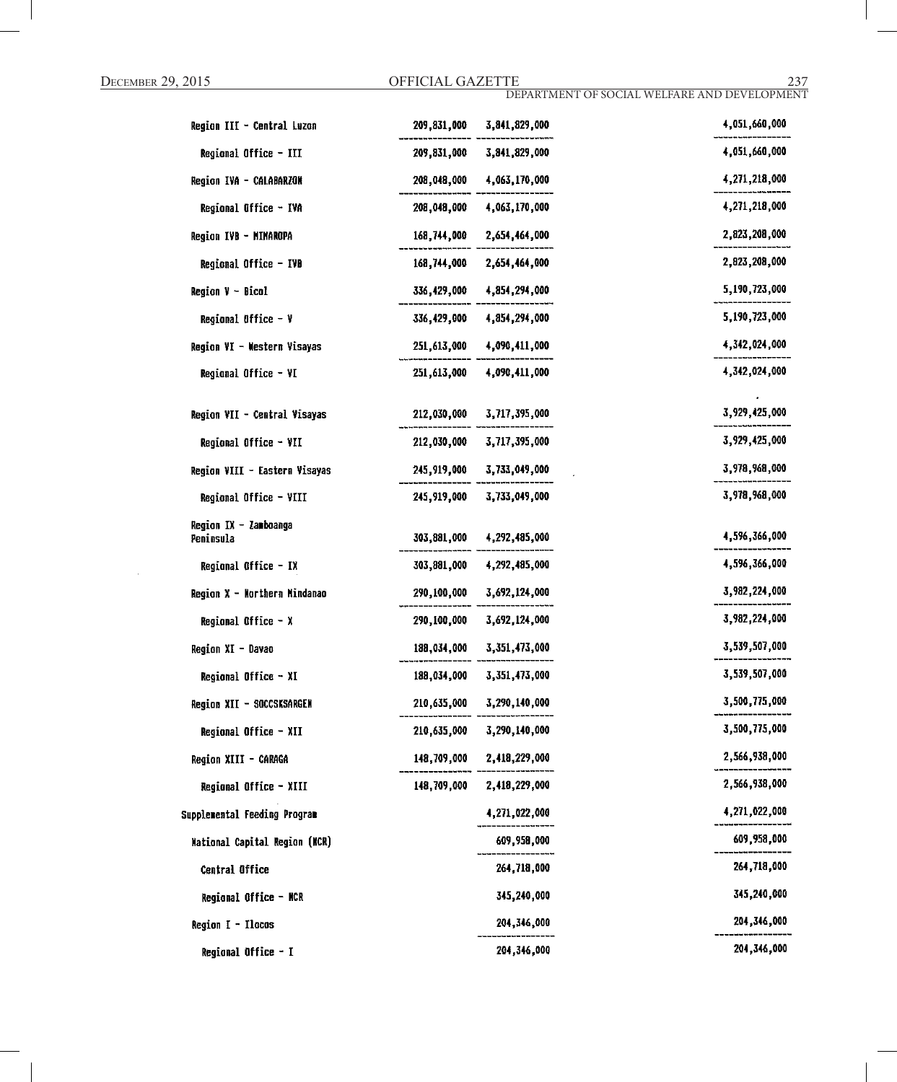| Region III - Central Luzon           | 209,831,000 | 3,841,829,000                  | 4,051,660,000 |
|--------------------------------------|-------------|--------------------------------|---------------|
| Regional Office - III                |             | 209, 831, 000 3, 841, 829, 000 | 4.051.660.000 |
| Region IVA - CALABARZON              |             | 208,048,000 4,063,170,000      | 4,271,218,000 |
| Regional Office - IVA                |             | 208,048,000 4,063,170,000      | 4,271,218,000 |
| Region IVB - MINAROPA                |             | 168,744,000 2,654,464,000      | 2,823,208,000 |
| Regional Office - IVB                |             | 168,744,000 2,654,464,000      | 2,823,208,000 |
| <b>Region <math>V - Bical</math></b> |             | 336,429,000 4,854,294,000      | 5,190,723,000 |
| Regional Office - V                  |             | 336,429,000 4,854,294,000      | 5,190,723,000 |
| Region VI - Western Visayas          |             | 251,613,000 4,090,411,000      | 4,342,024,000 |
| Regional Office - VI                 | 251,613,000 | 4,090,411,000                  | 4,342,024,000 |
|                                      |             |                                |               |
| Region VII - Central Visayas         |             | 212,030,000 3,717,395,000      | 3,929,425,000 |
| Regional Office - VII                |             | 212,030,000 3,717,395,000      | 3,929,425,000 |
| Region VIII - Eastern Visayas        |             | 245,919,000 3,733,049,000      | 3,978,968,000 |
| Regional Office - VIII               | 245,919,000 | 3,733,049,000                  | 3,978,968,000 |
| Region IX - Zamboanga                |             |                                | 4,596,366,000 |
| Peninsula                            | 303,881,000 | 4,292,485,000                  |               |
| Regional Office - IX                 |             | 303,881,000 4,292,485,000      | 4,596,366,000 |
| Region X - Northern Mindanao         |             | 290,100,000 3,692,124,000      | 3,982,224,000 |
| Regional Office $- x$                |             | 290,100,000 3,692,124,000      | 3,982,224,000 |
| Region XI - Davao                    | 188,034,000 | 3,351,473,000                  | 3,539,507,000 |
| Regional Office - XI                 | 188,034,000 | 3,351,473,000                  | 3,539,507,000 |
| Region XII - SOCCSKSARGEN            |             | 210,635,000 3,290,140,000      | 3,500,775,000 |
| Regional Office - XII                |             | 210,635,000 3,290,140,000      | 3,500,775,000 |
| Region XIII - CARAGA                 |             | 148,709,000 2,418,229,000      | 2,566,938,000 |
| Regional Office - XIII               |             | 148,709,000 2,418,229,000      | 2,566,938,000 |
| Supplemental Feeding Program         |             | 4,271,022,000                  | 4,271,022,000 |
| National Capital Region (NCR)        |             | 609,958,000                    | 609,958,000   |
| Central Office                       |             | 264,718,000                    | 264,718,000   |
| Regional Office - NCR                |             | 345,240,000                    | 345,240,000   |
| Region I - Ilocos                    |             | 204,346,000                    | 204,346,000   |
| Regional Office - I                  |             | 204, 346, 000                  | 204,346,000   |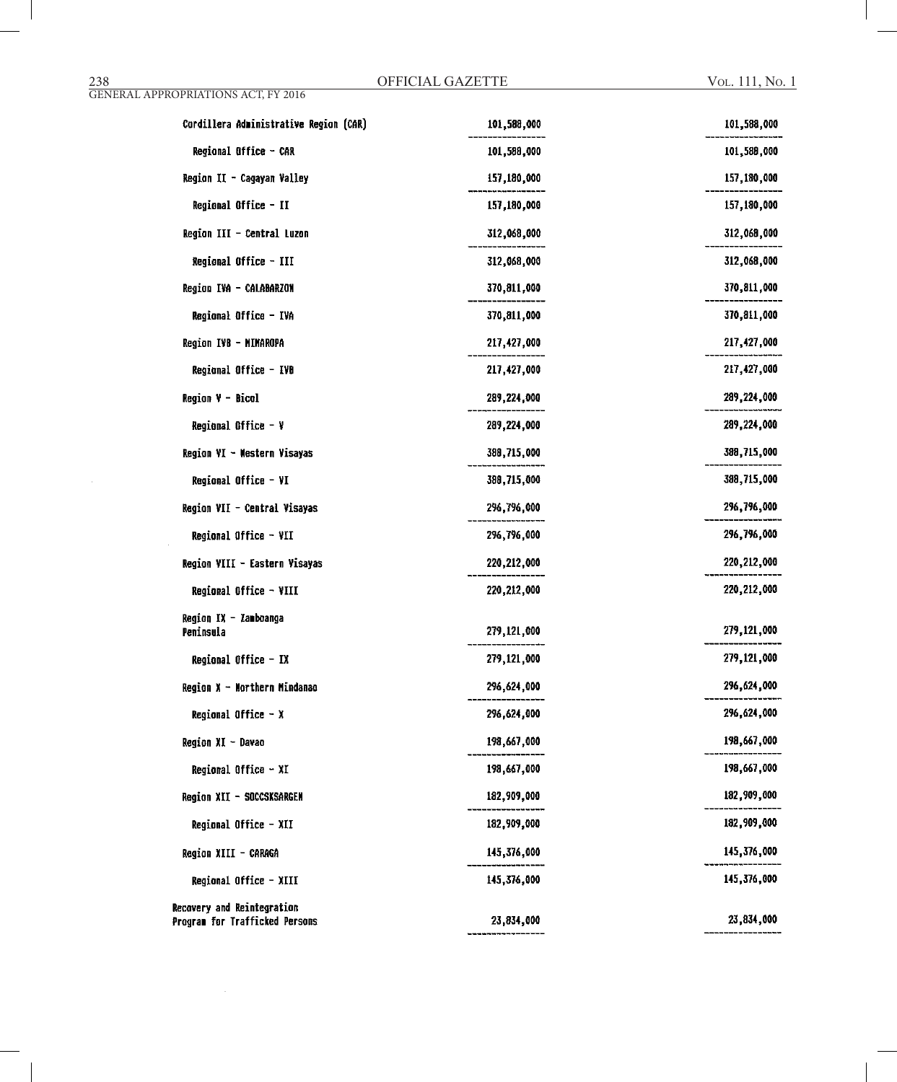| Cordillera Administrative Region (CAR)                       | 101,588,000   | 101,588,000   |
|--------------------------------------------------------------|---------------|---------------|
| Regional Office - CAR                                        | 101,588,000   | 101,588,000   |
| Region II - Cagayan Valley                                   | 157,180,000   | 157,180,000   |
| Regional Office - II                                         | 157,180,000   | 157,180,000   |
| Region III - Central Luzon                                   | 312,068,000   | 312,068,000   |
| Regional Office - III                                        | 312,068,000   | 312,068,000   |
| Region IVA - CALABARZON                                      | 370,811,000   | 370,811,000   |
| Regional Office - IVA                                        | 370,811,000   | 370,811,000   |
| Region IVB - MIMAROPA                                        | 217,427,000   | 217, 427, 000 |
| Regional Office - IVB                                        | 217,427,000   | 217, 427, 000 |
| Region V - Bicol                                             | 289,224,000   | 289,224,000   |
| Regional Office - ¥                                          | 289,224,000   | 289,224,000   |
| Region VI - Mestern Visayas                                  | 388,715,000   | 388,715,000   |
| Regional Office - VI                                         | 388,715,000   | 388,715,000   |
| Region VII - Central Visayas                                 | 296,796,000   | 296,796,000   |
| Regional Office - VII                                        | 296,796,000   | 296,796,000   |
| Region VIII - Eastern Visayas                                | 220,212,000   | 220,212,000   |
| Regional Office - VIII                                       | 220, 212, 000 | 220, 212, 000 |
| Region IX - Zamboanga<br>Peninsula                           | 279,121,000   | 279,121,000   |
| Regional Office - IX                                         | 279,121,000   | 279,121,000   |
| Region X - Morthern Mindanao                                 | 296,624,000   | 296,624,000   |
| Regional Office - X                                          | 296,624,000   | 296,624,000   |
| Region XI - Davao                                            | 198,667,000   | 198,667,000   |
| Regional Office - XI                                         | 198,667,000   | 198,667,000   |
| Region XII - SOCCSKSARGEN                                    | 182,909,000   | 182,909,000   |
| Regional Office - XII                                        | 182,909,000   | 182,909,000   |
| Region XIII - CARAGA                                         | 145,376,000   | 145,376,000   |
| Regional Office - XIII                                       | 145,376,000   | 145,376,000   |
| Recovery and Reintegration<br>Program for Trafficked Persons | 23,834,000    | 23,834,000    |

 $\mathcal{A}^{\mathcal{A}}$ 

GENERAL APPROPRIATIONS ACT, FY 2016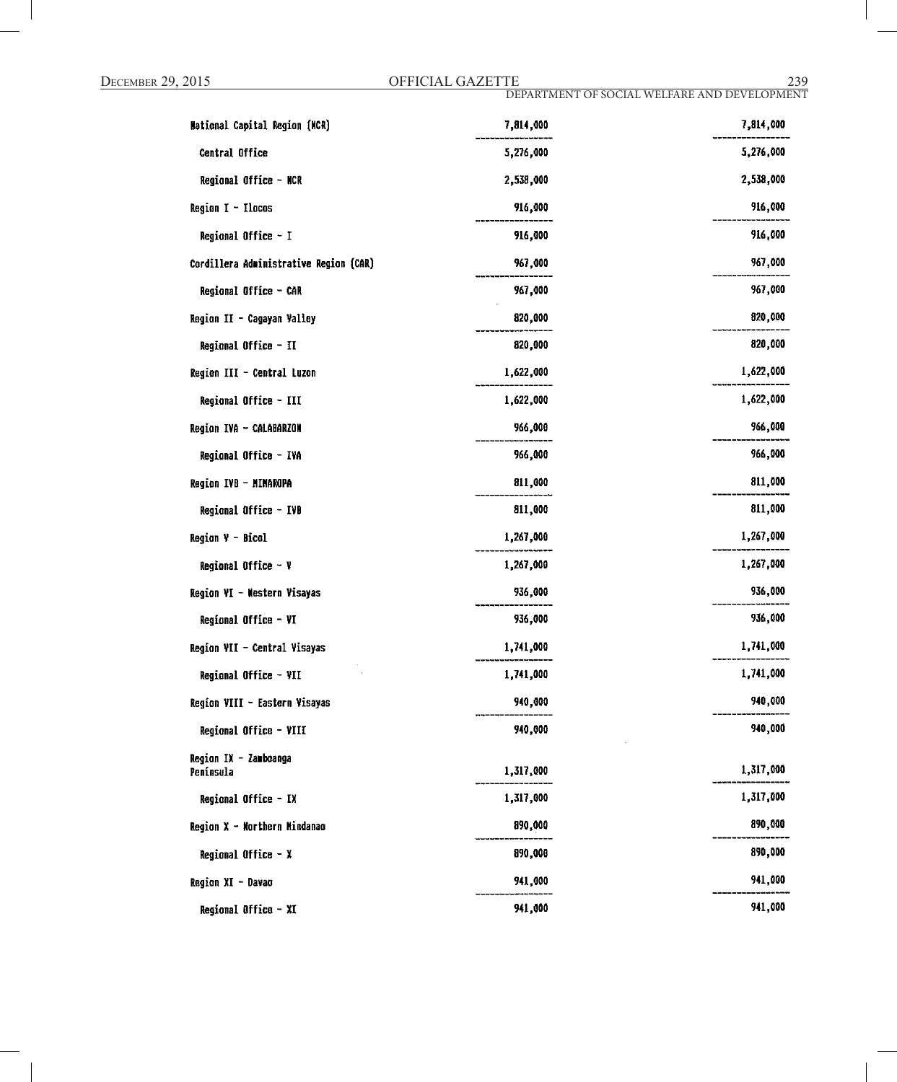| <b>Mational Capital Region (MCR)</b>   | 7,814,000 | 7,814,000 |
|----------------------------------------|-----------|-----------|
| Central Office                         | 5,276,000 | 5,276,000 |
| Regional Office - NCR                  | 2,538,000 | 2,538,000 |
| $Region I - Ilocos$                    | 916,000   | 916,000   |
| Regional Office - I                    | 916,000   | 916,000   |
| Cordillera Administrative Region (CAR) | 967,000   | 967,000   |
| Regional Office - CAR                  | 967,000   | 967,000   |
| Region II - Cagayan Valley             | 820,000   | 820,000   |
| Regional Office - II                   | 820,000   | 820,000   |
| Region III - Central Luzon             | 1,622,000 | 1,622,000 |
| Regional Office - III                  | 1,622,000 | 1,622,000 |
| Region IVA - CALABARZON                | 966,000   | 966,000   |
| Regional Office - IVA                  | 966,000   | 966,000   |
| Region IVB - MIMAROPA                  | 811,000   | 811,000   |
| Regional Office - IVB                  | 811,000   | 811,000   |
| Region V - Bicol                       | 1,267,000 | 1,267,000 |
| Regional Office $-$ Y                  | 1,267,000 | 1,267,000 |
| Region VI - Mestern Visayas            | 936,000   | 936,000   |
| Regional Office - VI                   | 936,000   | 936,000   |
| Region VII - Central Visayas           | 1,741,000 | 1,741,000 |
| Regional Office - VII                  | 1,741,000 | 1,741,000 |
| Region VIII - Eastern Visayas          | 940,000   | 940,000   |
| Regional Office - VIII                 | 940,000   | 940,000   |
| Region IX - Zamboanga<br>Peninsula     | 1,317,000 | 1,317,000 |
| Regional Office - IX                   | 1,317,000 | 1,317,000 |
| Region X - Northern Mindanao           | 890,000   | 890,000   |
| Regional Office - X                    | 890,000   | 890,000   |
| Region XI - Davao                      | 941,000   | 941,000   |
| Regional Office - XI                   | 941,000   | 941,000   |
|                                        |           |           |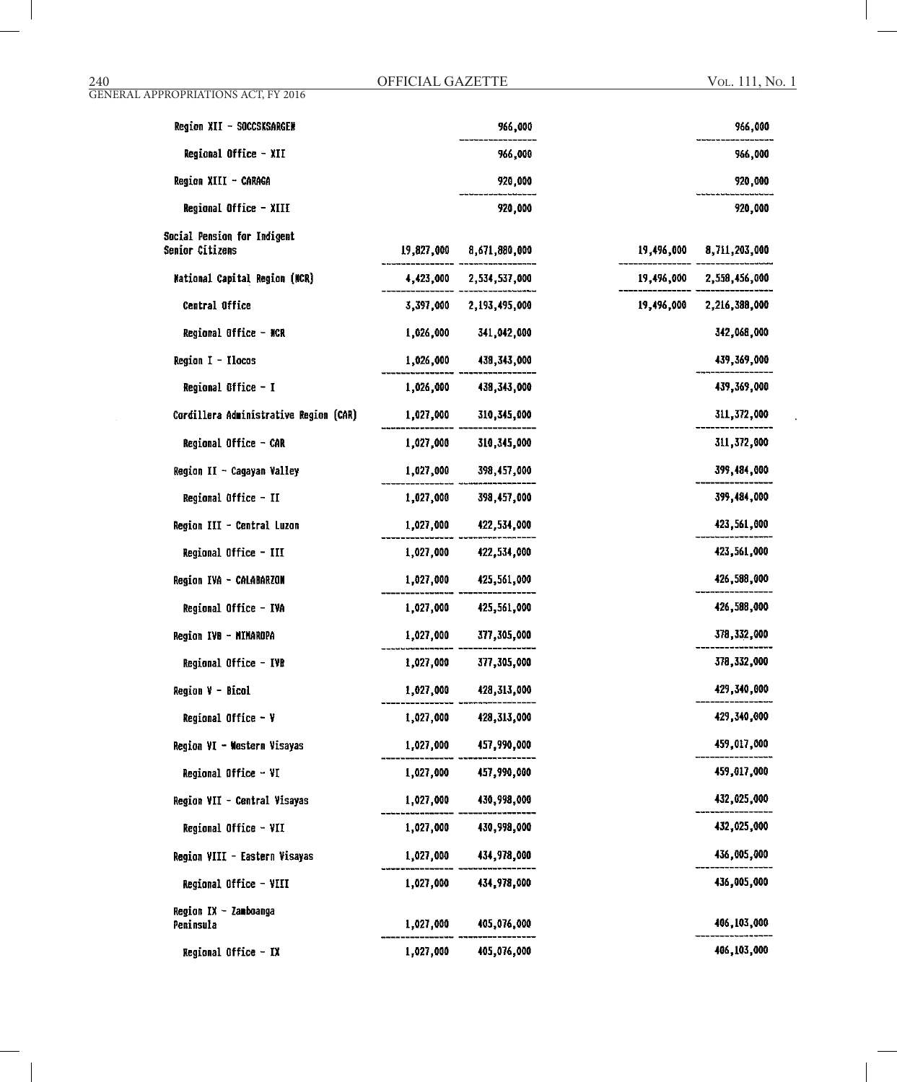Vol. 111, No. 1

| Region XII - SOCCSKSARGEN                      |           | 966,000                  |            | 966,000                  |
|------------------------------------------------|-----------|--------------------------|------------|--------------------------|
| Regional Office - XII                          |           | 966,000                  |            | 966,000                  |
| Region XIII - CARAGA                           |           | 920,000                  |            | 920,000                  |
| Regional Office - XIII                         |           | 920,000                  |            | 920,000                  |
| Social Pension for Indigent<br>Semior Citizens |           | 19,827,000 8,671,880,000 | 19,496,000 | 8,711,203,000            |
| <b>Mational Capital Region (NCR)</b>           |           | 4,423,000 2,534,537,000  |            | 19,496,000 2,558,456,000 |
| Central Office                                 | 3,397,000 | 2,193,495,000            | 19,496,000 | 2,216,388,000            |
| Regional Office - NCR                          | 1,026,000 | 341,042,000              |            | 342,068,000              |
| Region I - Ilocos                              | 1,026,000 | 438,343,000              |            | 439,369,000              |
| Regional Office - I                            | 1,026,000 | 438,343,000              |            | 439,369,000              |
| Cordillera Administrative Region (CAR)         | 1,027,000 | 310,345,000              |            | 311,372,000              |
| Regional Office - CAR                          | 1,027,000 | 310,345,000              |            | 311,372,000              |
| Region II - Cagayan Valley                     | 1,027,000 | 398,457,000              |            | 399,484,000              |
| Regional Office - II                           | 1,027,000 | 398,457,000              |            | 399,484,000              |
| Region III - Central Luzon                     | 1,027,000 | 422,534,000              |            | 423,561,000              |
| Regional Office - III                          | 1,027,000 | 422,534,000              |            | 423,561,000              |
| Region IVA - CALABARZON                        | 1,027,000 | 425,561,000              |            | 426,588,000              |
| Regional Office - IVA                          | 1,027,000 | 425,561,000              |            | 426,588,000              |
| Region IVB - MIMAROPA                          | 1,027,000 | 377,305,000              |            | 378,332,000              |
| Regional Office - IVB                          | 1,027,000 | 377,305,000              |            | 378,332,000              |
| Region V - Bicol                               | 1,027,000 | 428,313,000              |            | 429,340,000              |
| Regional Office - Y                            |           | 1,027,000 428,313,000    |            | 429,340,000              |
| Region VI - Western Visayas                    | 1,027,000 | 457,990,000              |            | 459,017,000              |
| Regional Office - VI                           | 1,027,000 | 457,990,000              |            | 459,017,000              |
| Region VII - Central Visayas                   | 1,027,000 | 430,998,000              |            | 432,025,000              |
| Regional Office - VII                          |           | 1,027,000 430,998,000    |            | 432,025,000              |
| Region VIII - Eastern Visayas                  | 1,027,000 | 434,978,000              |            | 436,005,000              |
| Regional Office - VIII                         | 1,027,000 | 434,978,000              |            | 436,005,000              |
| Region IX - Zamboanga<br>Peninsula             | 1,027,000 | 405,076,000              |            | 406,103,000              |
| Regional Office - IX                           | 1,027,000 | 405,076,000              |            | 406,103,000              |

GENERAL APPROPRIATIONS ACT, FY 2016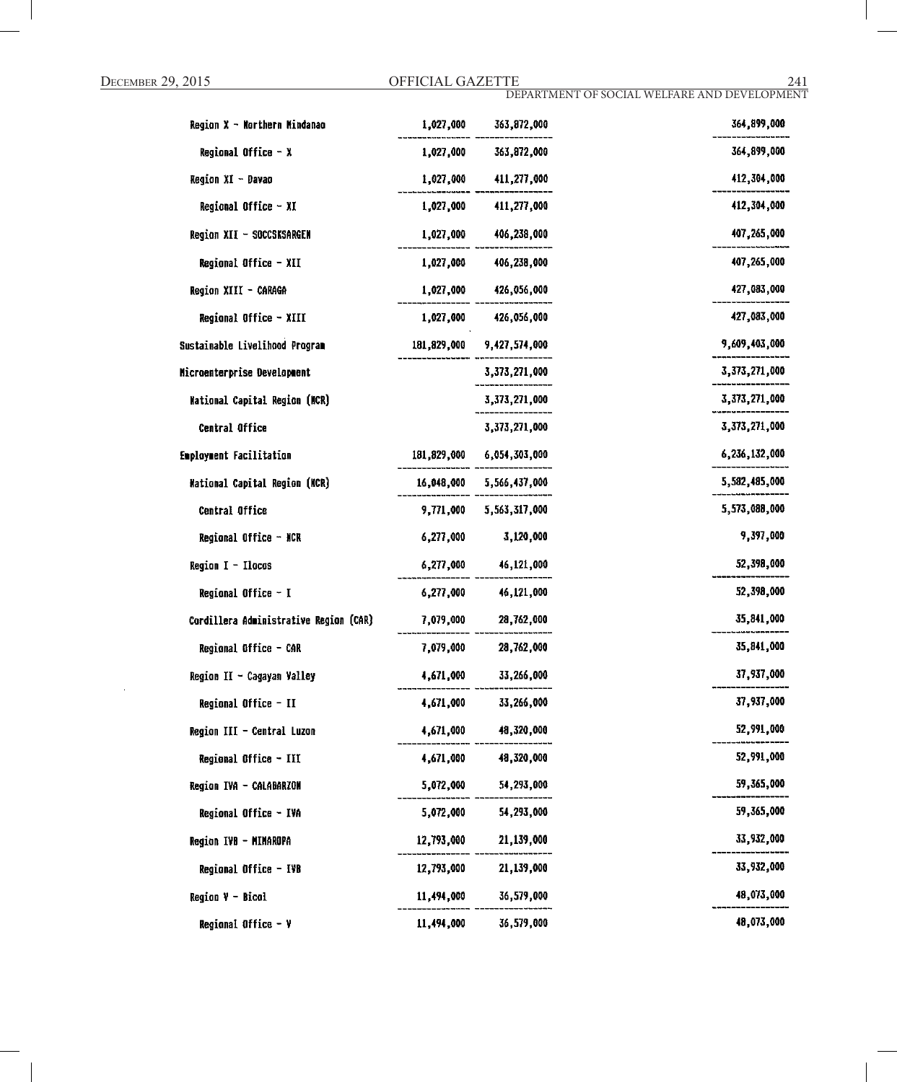| Region X - Northern Mindanao           | 1,027,000   | 363,872,000               | 364,899,000   |
|----------------------------------------|-------------|---------------------------|---------------|
| Regional Office - X                    | 1,027,000   | 363,872,000               | 364,899,000   |
| Region XI - Davao                      | 1,027,000   | 411,277,000               | 412,304,000   |
| Regional Office - XI                   | 1,027,000   | 411,277,000               | 412,304,000   |
| Region XII - SOCCSKSARGEN              | 1,027,000   | 406,238,000               | 407,265,000   |
| Regional Office - XII                  | 1,027,000   | 406,238,000               | 407,265,000   |
| Region XIII - CARAGA                   |             | 1,027,000 426,056,000     | 427,083,000   |
| Regional Office - XIII                 | 1,027,000   | 426,056,000               | 427,083,000   |
| Sustainable Livelihood Program         | 181,829,000 | 9,427,574,000             | 9,609,403,000 |
| Microenterprise Development            |             | 3,373,271,000             | 3,373,271,000 |
| <b>Mational Capital Region (MCR)</b>   |             | 3,373,271,000             | 3,373,271,000 |
| Central Office                         |             | 3,373,271,000             | 3,373,271,000 |
| Employment Facilitation                |             | 181,829,000 6,054,303,000 | 6,236,132,000 |
| <b>Mational Capital Region (NCR)</b>   |             | 16,048,000 5,566,437,000  | 5,582,485,000 |
| Central Office                         | 9,771,000   | 5,563,317,000             | 5,573,088,000 |
| Regional Office - NCR                  | 6,277,000   | 3,120,000                 | 9,397,000     |
| <b>Region <math>I - Ilocos</math></b>  | 6,277,000   | 46,121,000                | 52,398,000    |
| Regional Office - I                    | 6,277,000   | 46,121,000                | 52,398,000    |
| Cordillera Administrative Region (CAR) | 7,079,000   | 28,762,000                | 35,841,000    |
| Regional Office - CAR                  | 7,079,000   | 28,762,000                | 35,841,000    |
| Region II - Cagayan Valley             | 4,671,000   | 33,266,000                | 37,937,000    |
| Regional Office - II                   | 4,671,000   | 33,266,000                | 37,937,000    |
| Region III - Central Luzon             | 4,671,000   | 48,320,000                | 52,991,000    |
| Regional Office - III                  | 4,671,000   | 48,320,000                | 52,991,000    |
| Region IVA - CALABARZON                | 5,072,000   | 54,293,000                | 59,365,000    |
| Regional Office - IVA                  | 5,072,000   | 54,293,000                | 59,365,000    |
| Region IVB - MINAROPA                  | 12,793,000  | 21,139,000                | 33,932,000    |
| Regional Office - IVB                  | 12,793,000  | 21,139,000                | 33,932,000    |
| <b>Region V - Bicol</b>                | 11,494,000  | 36,579,000                | 48,073,000    |
| Regional Office - V                    | 11,494,000  | 36,579,000                | 48,073,000    |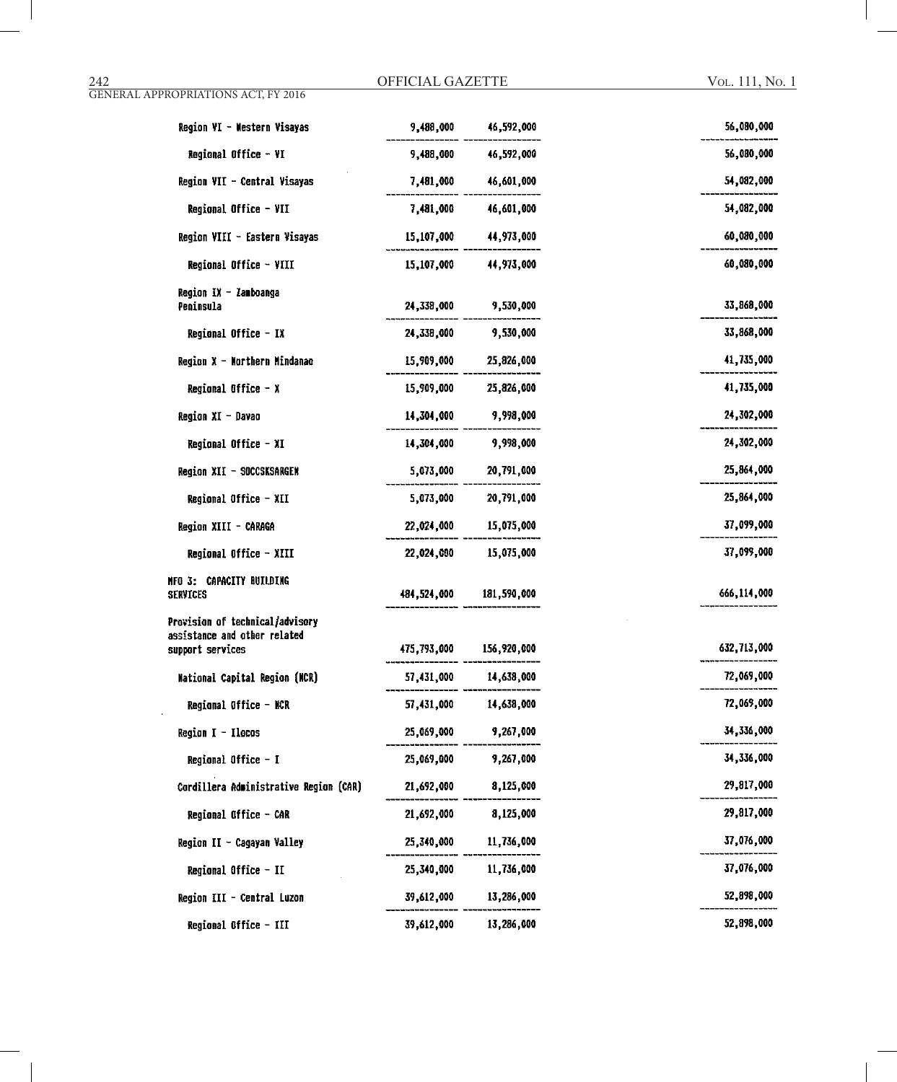#### 242 OFFICIAL GAZETTE GENERAL APPROPRIATIONS ACT, FY 2016

| Region VI - Western Visayas                                                         | 9,488,000   | 46,592,000              | 56,080,000  |
|-------------------------------------------------------------------------------------|-------------|-------------------------|-------------|
| Regional Office - VI                                                                | 9,488,000   | 46,592,000              | 56,080,000  |
| Region VII - Central Visayas                                                        | 7,481,000   | 46,601,000              | 54,082,000  |
| Regional Office - VII                                                               | 7,481,000   | 46,601,000              | 54,082,000  |
| Region VIII - Eastern Visayas                                                       | 15,107,000  | 44,973,000              | 60,080,000  |
| Regional Office - VIII                                                              | 15,107,000  | 44,973,000              | 60,080,000  |
| Region IX - Zamboanga<br>Peninsula                                                  | 24,338,000  | 9,530,000               | 33,868,000  |
| Regional Office - IX                                                                | 24,338,000  | 9,530,000               | 33,868,000  |
| Region X - Morthern Mindanao                                                        | 15,909,000  | 25,826,000              | 41,735,000  |
| Regional Office - X                                                                 | 15,909,000  | 25,826,000              | 41,735,000  |
| Region XI - Davao                                                                   | 14,304,000  | 9,998,000               | 24,302,000  |
| Regional Office - XI                                                                | 14,304,000  | 9,998,000               | 24,302,000  |
| Region XII - SOCCSKSARGEN                                                           | 5,073,000   | 20,791,000              | 25,864,000  |
| Regional Office - XII                                                               | 5,073,000   | 20,791,000              | 25,864,000  |
| Region XIII - CARAGA                                                                | 22,024,000  | 15,075,000              | 37,099,000  |
| Regional Office - XIII                                                              | 22,024,000  | 15,075,000              | 37,099,000  |
| NFO 3: CAPACITY BUILDING<br><b>SERVICES</b>                                         | 484,524,000 | 181,590,000             | 666,114,000 |
| Provision of technical/advisory<br>assistance and other related<br>support services |             | 475,793,000 156,920,000 | 632,713,000 |
| <b>Mational Capital Region (MCR)</b>                                                | 57,431,000  | 14,638,000              | 72,069,000  |
| Regional Office - NCR                                                               | 57,431,000  | 14,638,000              | 72,069,000  |
| Region $I - Ilacos$                                                                 | 25,069,000  | 9,267,000               | 34,336,000  |
| Regional Office - I                                                                 | 25,069,000  | 9,267,000               | 34,336,000  |
| Cordillera Administrative Region (CAR)                                              | 21,692,000  | 8,125,000               | 29,817,000  |
| Regional Office - CAR                                                               | 21,692,000  | 8,125,000               | 29,817,000  |
| Region II - Cagayan Valley                                                          | 25,340,000  | 11,736,000              | 37,076,000  |
| Regional Office - II                                                                | 25,340,000  | 11,736,000              | 37,076,000  |
| Region III - Central Luzon                                                          | 39,612,000  | 13,286,000              | 52,898,000  |
| Regional Office - III                                                               | 39,612,000  | 13,286,000              | 52,898,000  |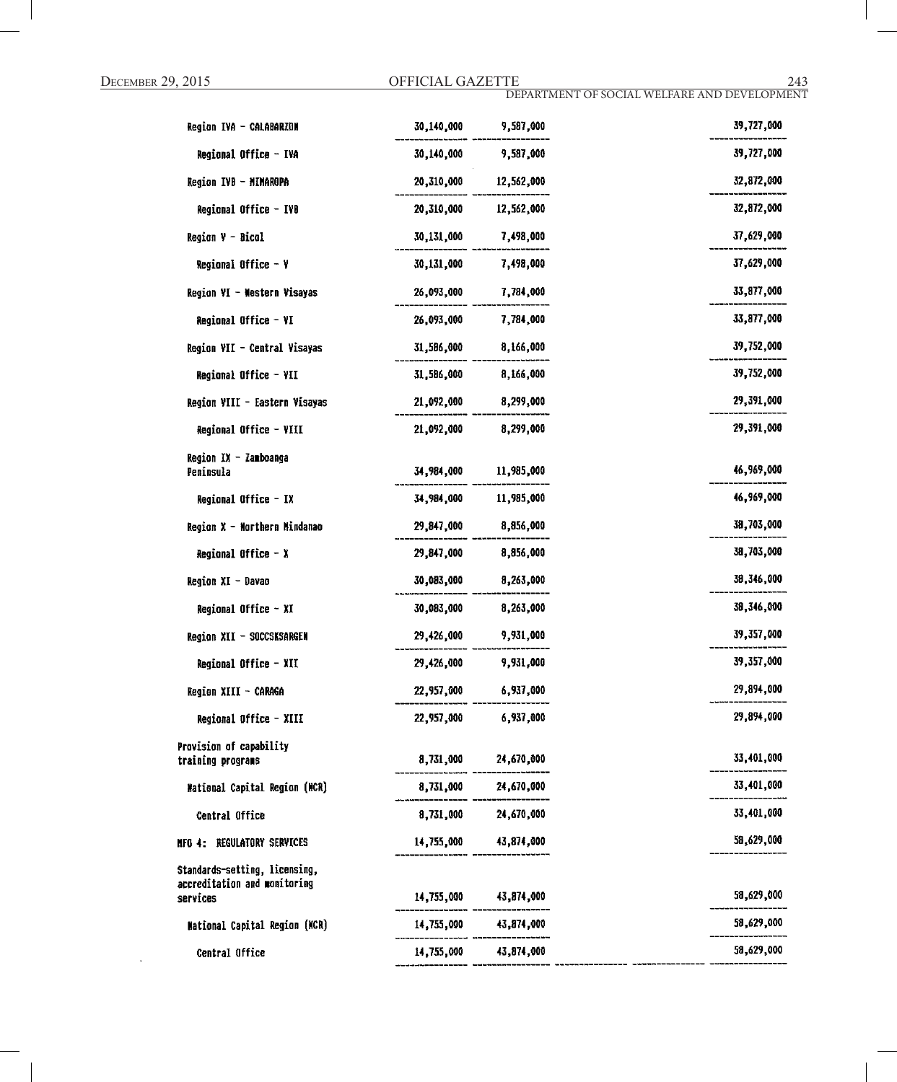| Region IVA - CALABARZON                                                   | 30,140,000 | 9,587,000             | 39,727,000 |
|---------------------------------------------------------------------------|------------|-----------------------|------------|
| Regional Office - IVA                                                     | 30,140,000 | 9,587,000             | 39,727,000 |
| Region IVB - MIMAROPA                                                     | 20,310,000 | 12,562,000            | 32,872,000 |
| Regional Office - IVB                                                     | 20,310,000 | 12,562,000            | 32,872,000 |
| Region V - Bical                                                          | 30,131,000 | 7,498,000             | 37,629,000 |
| Regional Office - Y                                                       | 30,131,000 | 7,498,000             | 37,629,000 |
| Region VI - Western Visayas                                               | 26,093,000 | 7,784,000             | 33,877,000 |
| Regional Office - VI                                                      | 26,093,000 | 7,784,000             | 33,877,000 |
| Region VII - Central Visayas                                              | 31,586,000 | 8,166,000             | 39,752,000 |
| Regional Office - VII                                                     | 31,586,000 | 8,166,000             | 39,752,000 |
| Region VIII - Eastern Visayas                                             | 21,092,000 | 8,299,000             | 29,391,000 |
| Regional Office - VIII                                                    | 21,092,000 | 8,299,000             | 29,391,000 |
| Region IX - Zamboanga                                                     |            |                       |            |
| Peninsula                                                                 | 34,984,000 | 11,985,000            | 46,969,000 |
| Regional Office - IX                                                      | 34,984,000 | 11,985,000            | 46,969,000 |
| Region X - Northern Mindanao                                              | 29,847,000 | 8,856,000             | 38,703,000 |
| Regional Office $- x$                                                     | 29,847,000 | 8,856,000             | 38,703,000 |
| <b>Region XI - Davao</b>                                                  | 30,083,000 | 8,263,000             | 38,346,000 |
| Regional Office - XI                                                      | 30,083,000 | 8,263,000             | 38,346,000 |
| Region XII - SOCCSKSARGEN                                                 | 29,426,000 | 9,931,000             | 39,357,000 |
| Regional Office - XII                                                     | 29,426,000 | 9,931,000             | 39,357,000 |
| Region XIII - CARAGA                                                      | 22,957,000 | 6,937,000             | 29,894,000 |
| Regional Office - XIII                                                    | 22,957,000 | 6,937,000             | 29,894,000 |
| Provision of capability                                                   | 8,731,000  | 24,670,000            | 33,401,000 |
| training programs                                                         |            | 24,670,000            | 33,401,000 |
| <b>Mational Capital Region (NCR)</b>                                      | 8,731,000  |                       | 33,401,000 |
| Central Office                                                            | 8,731,000  | 24,670,000            |            |
| REGULATORY SERVICES<br>NFO 4:                                             | 14,755,000 | 43,874,000            | 58,629,000 |
| Standards-setting, licensing,<br>accreditation and monitoring<br>services |            | 14,755,000 43,874,000 | 58,629,000 |
| <b>Mational Capital Region (NCR)</b>                                      |            | 14,755,000 43,874,000 | 58,629,000 |
| Central Office                                                            |            | 14,755,000 43,874,000 | 58,629,000 |
|                                                                           |            |                       |            |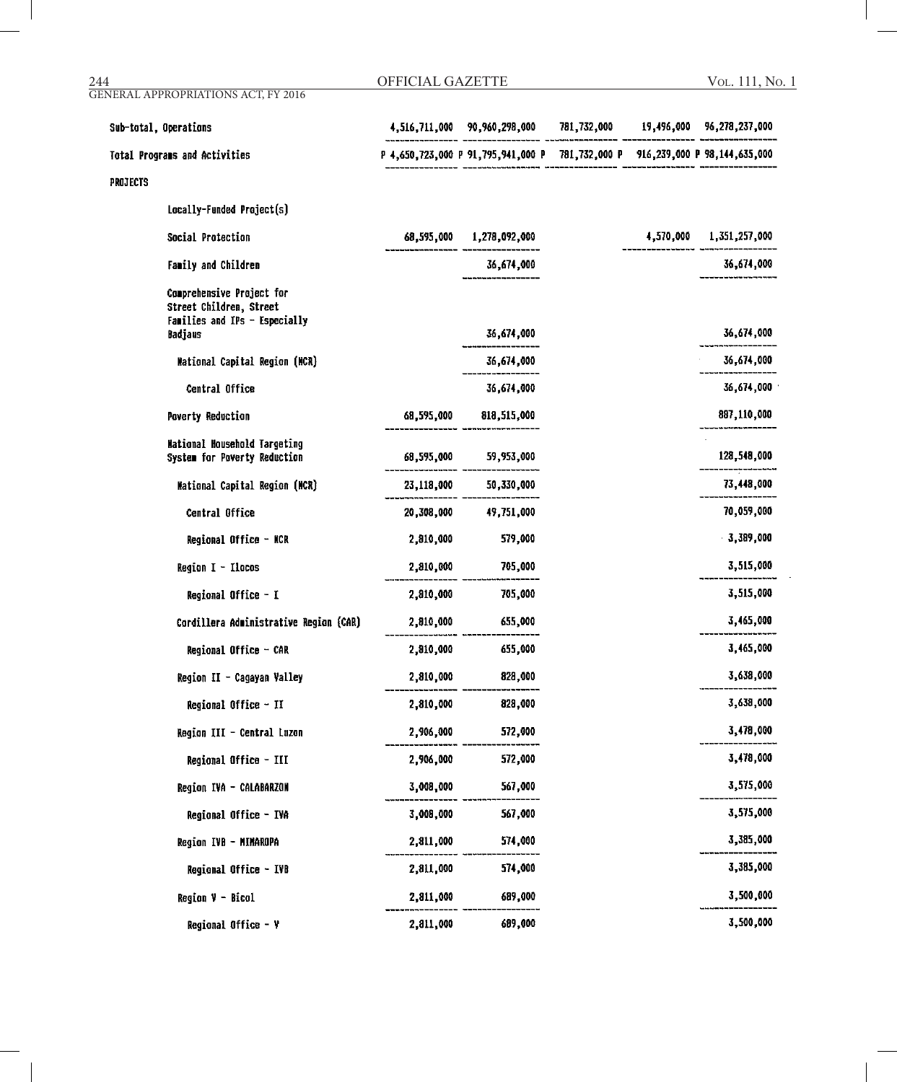| 244      | <b>GENERAL APPROPRIATIONS ACT, FY 2016</b>                                                              | <b>OFFICIAL GAZETTE</b> |                                                                               |  | VOL. 111, No. 1                       |
|----------|---------------------------------------------------------------------------------------------------------|-------------------------|-------------------------------------------------------------------------------|--|---------------------------------------|
|          | Sub-total, Operations                                                                                   |                         | 4,516,711,000 90,960,298,000                                                  |  | 781,732,000 19,496,000 96,278,237,000 |
|          | Total Programs and Activities                                                                           |                         | P 4,650,723,000 P 91,795,941,000 P 781,732,000 P 916,239,000 P 98,144,635,000 |  |                                       |
| PROJECTS |                                                                                                         |                         |                                                                               |  |                                       |
|          | Locally-Funded Project(s)                                                                               |                         |                                                                               |  |                                       |
|          | Social Protection                                                                                       |                         | 68,595,000 1,278,092,000                                                      |  | 4,570,000 1,351,257,000               |
|          | Family and Children                                                                                     |                         | 36,674,000                                                                    |  | 36,674,000                            |
|          | Comprehensive Project for<br>Street Children, Street<br>Families and IPs - Especially<br><b>Badjaus</b> |                         | 36,674,000                                                                    |  | 36,674,000                            |
|          | <b>Mational Capital Region (MCR)</b>                                                                    |                         | 36,674,000                                                                    |  | 36,674,000                            |
|          | Central Office                                                                                          |                         | 36,674,000                                                                    |  | 36,674,000                            |
|          | <b>Poverty Reduction</b>                                                                                | 68,595,000              | 818,515,000                                                                   |  | 887,110,000                           |
|          | <b>Mational Household Targeting</b><br>System for Poverty Reduction                                     | 68,595,000              | 59,953,000                                                                    |  | 128,548,000                           |
|          | Mational Capital Region (NCR)                                                                           | 23,118,000              | 50,330,000                                                                    |  | 73,448,000                            |
|          | Central Office                                                                                          | 20,308,000              | 49,751,000                                                                    |  | 70,059,000                            |
|          | Regional Office - NCR                                                                                   | 2,810,000               | 579,000                                                                       |  | $-3,389,000$                          |
|          | Region I - Ilocos                                                                                       | 2,810,000               | 705,000                                                                       |  | 3,515,000                             |
|          | Regional Office - I                                                                                     | 2,810,000               | 705,000                                                                       |  | 3,515,000                             |
|          | Cordillera Administrative Region (CAR)                                                                  | 2,810,000               | 655,000                                                                       |  | 3,465,000                             |
|          | Regional Office - CAR                                                                                   | 2,810,000               | 655,000                                                                       |  | 3,465,000                             |
|          | Region II - Cagayan Valley                                                                              | 2,810,000               | 828,000                                                                       |  | 3,638,000                             |
|          | Regional Office - II                                                                                    | 2,810,000               | 828,000                                                                       |  | 3,638,000                             |
|          | Region III - Central Luzon                                                                              | 2,906,000               | 572,000                                                                       |  | 3,478,000                             |
|          | Regional Office - III                                                                                   | 2,906,000               | 572,000                                                                       |  | 3,478,000                             |
|          | Region IVA - CALABARZON                                                                                 | 3,008,000               | 567,000                                                                       |  | 3,575,000                             |
|          | Regional Office - IVA                                                                                   | 3,008,000               | 567,000                                                                       |  | 3,575,000                             |
|          | Region IVB - MINAROPA                                                                                   | 2,811,000               | 574,000                                                                       |  | 3,385,000                             |
|          | Regional Office - IVB                                                                                   | 2,811,000               | 574,000                                                                       |  | 3,385,000                             |
|          | $Region V - Bicol$                                                                                      | 2,811,000               | 689,000                                                                       |  | 3,500,000                             |
|          | Regional Office - $Y$                                                                                   | 2,811,000               | 689,000                                                                       |  | 3,500,000                             |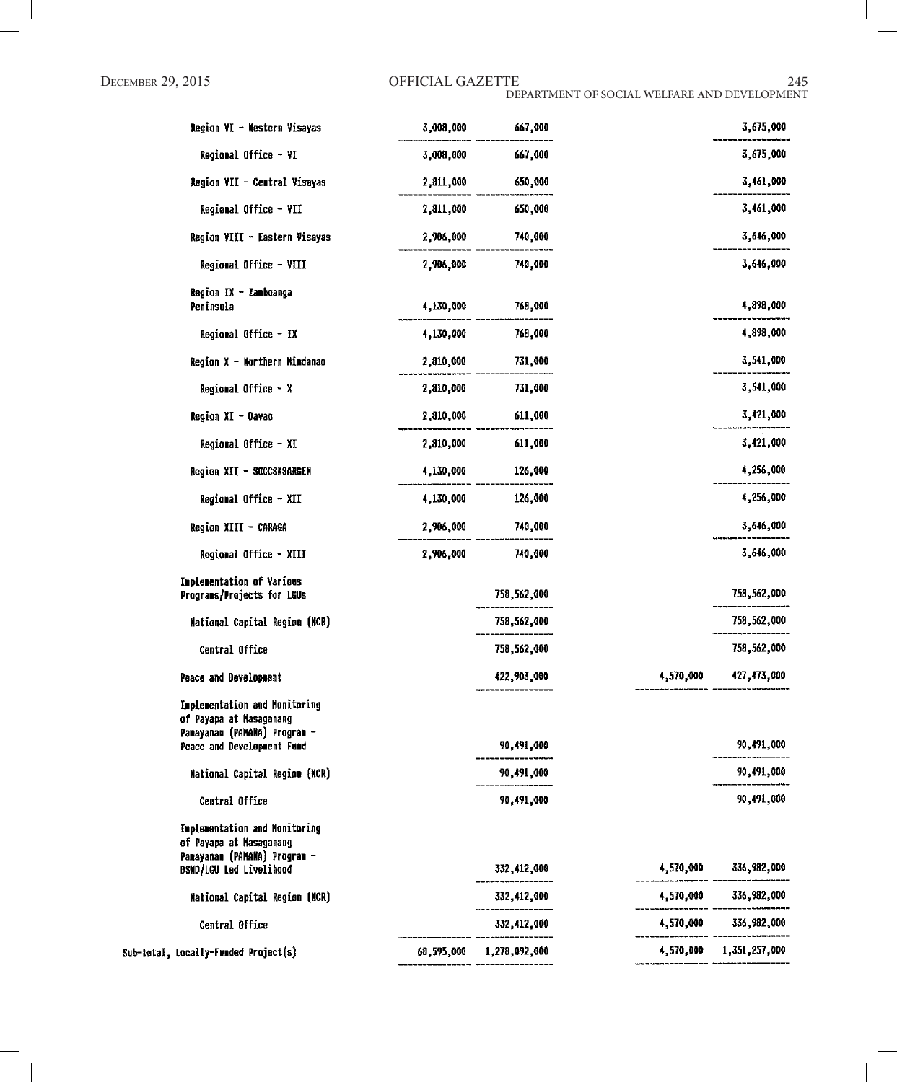| Region VI - Western Visayas                                                                                         | 3,008,000  | 667,000       |           | 3,675,000     |
|---------------------------------------------------------------------------------------------------------------------|------------|---------------|-----------|---------------|
| Regional Office - VI                                                                                                | 3,008,000  | 667,000       |           | 3,675,000     |
| Region VII - Central Visayas                                                                                        | 2,811,000  | 650,000       |           | 3,461,000     |
| Regional Office - VII                                                                                               | 2,811,000  | 650,000       |           | 3,461,000     |
| Region VIII - Eastern Visayas                                                                                       | 2,906,000  | 740,000       |           | 3,646,000     |
| Regional Office - VIII                                                                                              | 2,906,000  | 740,000       |           | 3,646,000     |
| Region IX - Zamboanga                                                                                               |            |               |           |               |
| Peninsula                                                                                                           | 4,130,000  | 768,000       |           | 4,898,000     |
| Regional Office - IX                                                                                                | 4,130,000  | 768,000       |           | 4,898,000     |
| Region X - Northern Mindanao                                                                                        | 2,810,000  | 731,000       |           | 3,541,000     |
| Regional Office $- x$                                                                                               | 2,810,000  | 731,000       |           | 3,541,000     |
| Region XI - Davao                                                                                                   | 2,810,000  | 611,000       |           | 3,421,000     |
| Regional Office - XI                                                                                                | 2,810,000  | 611,000       |           | 3,421,000     |
| Region XII - SOCCSKSARGEN                                                                                           | 4,130,000  | 126,000       |           | 4,256,000     |
| Regional Office - XII                                                                                               | 4,130,000  | 126,000       |           | 4,256,000     |
| Region XIII - CARAGA                                                                                                | 2,906,000  | 740,000       |           | 3,646,000     |
| Regional Office - XIII                                                                                              | 2,906,000  | 740,000       |           | 3,646,000     |
| Implementation of Various<br>Programs/Projects for LGUs                                                             |            | 758,562,000   |           | 758,562,000   |
| National Capital Region (NCR)                                                                                       |            | 758,562,000   |           | 758,562,000   |
| Central Office                                                                                                      |            | 758,562,000   |           | 758,562,000   |
| Peace and Development                                                                                               |            | 422,903,000   | 4,570,000 | 427,473,000   |
| Implementation and Monitoring<br>of Payapa at Nasaganang<br>Panayanan (PAMANA) Program -                            |            |               |           |               |
| Peace and Development Fund                                                                                          |            | 90,491,000    |           | 90,491,000    |
| <b>Mational Capital Region (NCR)</b>                                                                                |            | 90,491,000    |           | 90,491,000    |
| Central Office                                                                                                      |            | 90,491,000    |           | 90,491,000    |
| Implementation and Monitoring<br>of Payapa at Masaganang<br>Panayanan (PAMANA) Program -<br>DSMD/LGU Led Livelihood |            | 332,412,000   | 4,570,000 | 336,982,000   |
| National Capital Region (MCR)                                                                                       |            | 332,412,000   | 4,570,000 | 336,982,000   |
| Central Office                                                                                                      |            | 332,412,000   | 4,570,000 | 336,982,000   |
| Sub-total, Locally-Funded Project(s)                                                                                | 68,595,000 | 1,278,092,000 | 4,570,000 | 1,351,257,000 |
|                                                                                                                     |            |               |           |               |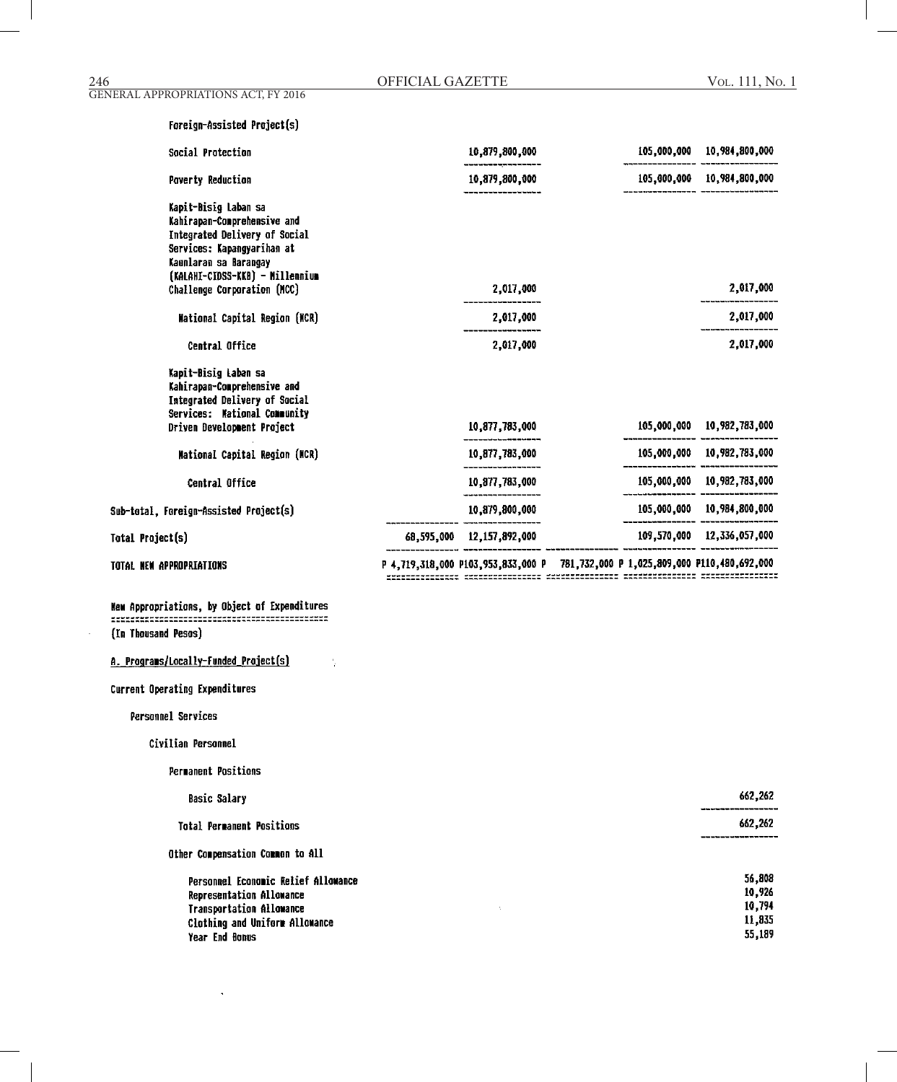# Foreign-Assisted Project(s)

| Social Protection                                                                                                                                  |            | 10,879,800,000 | 105,000,000 | 10,984,800,000             |
|----------------------------------------------------------------------------------------------------------------------------------------------------|------------|----------------|-------------|----------------------------|
| <b>Poverty Reduction</b>                                                                                                                           |            | 10,879,800,000 |             | 105,000,000 10,984,800,000 |
| Kapit-Bisig Laban sa<br>Kahirapan-Comprehensive and<br><b>Integrated Delivery of Social</b><br>Services: Kapangyarihan at<br>Kaunlaran sa Barangay |            |                |             |                            |
| (KALAHI-CIDSS-KKB) - Millennium<br>Challenge Corporation (NCC)                                                                                     |            | 2,017,000      |             | 2,017,000                  |
| <b>Mational Capital Region (MCR)</b>                                                                                                               |            | 2,017,000      |             | 2,017,000                  |
| Central Office                                                                                                                                     |            | 2,017,000      |             | 2,017,000                  |
| Kapit-Bisig Laban sa<br>Kahirapan-Comprehensive and<br>Integrated Delivery of Social<br>Services: Mational Community<br>Driven Development Project |            | 10,877,783,000 | 105,000,000 | 10,982,783,000             |
| Mational Capital Region (NCR)                                                                                                                      |            | 10,877,783,000 | 105,000,000 | 10,982,783,000             |
| Central Office                                                                                                                                     |            | 10,877,783,000 | 105,000,000 | 10,982,783,000             |
| Sub-total, Foreign-Assisted Project(s)                                                                                                             |            | 10,879,800,000 |             | 105,000,000 10,984,800,000 |
| Total Project(s)                                                                                                                                   | 68.595.000 | 12,157,892,000 |             | 109,570,000 12,336,057,000 |

TOTAL NEW APPROPRIATIONS

(In Thousand Pesos)

 $\frac{1}{2}$ 

A. Programs/Locally-Funded Project(s)

# Current Operating Expenditures

Personnel Services

Civilian Personnel

Permanent Positions

| <b>Basic Salary</b>                 | 662.262 |
|-------------------------------------|---------|
| <b>Total Permanent Positions</b>    | 662,262 |
| Other Compensation Common to All    |         |
| Personnel Economic Relief Allowance | 56,808  |
| Representation Allowance            | 10,926  |
| <b>Transportation Allowance</b>     | 10,794  |
| Clothing and Uniform Allowance      | 11,835  |
| Year End Bonus                      | 55,189  |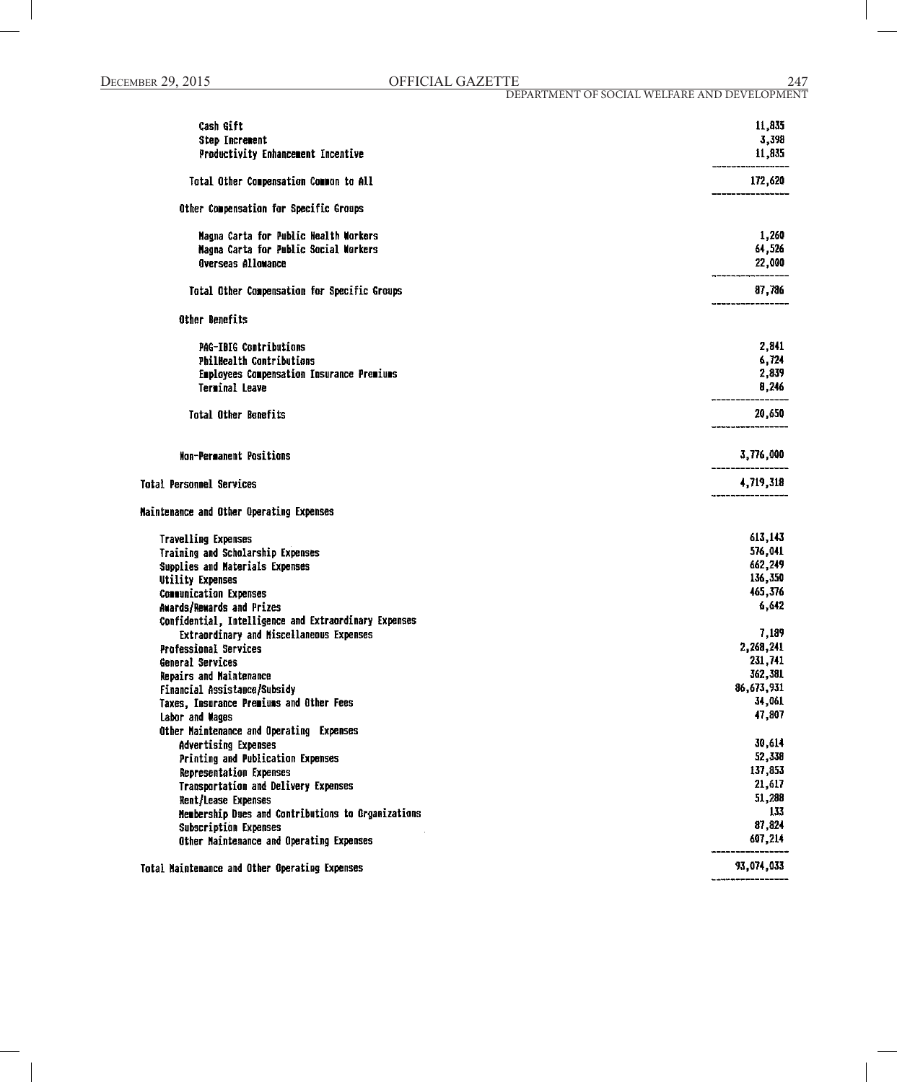| Cash Gift                                                                | 11,835            |
|--------------------------------------------------------------------------|-------------------|
| <b>Step Increment</b>                                                    | 3,398             |
| Productivity Enhancement Incentive                                       | 11,835            |
|                                                                          |                   |
| Total Other Compensation Common to All                                   | 172,620           |
| Other Compensation for Specific Groups                                   |                   |
| Nagna Carta for Public Health Workers                                    | 1,260             |
| Nagna Carta for Public Social Workers                                    | 64,526            |
| <b>Overseas Allowance</b>                                                | 22,000            |
| Total Other Compensation for Specific Groups                             | 87,786            |
| Other Benefits                                                           |                   |
| <b>PAG-IBIG Contributions</b>                                            | 2,841             |
| <b>PhilHealth Contributions</b>                                          | 6,724             |
| <b>Employees Compensation Insurance Premiums</b>                         | 2,839             |
| Terminal Leave                                                           | 8,246             |
| <b>Total Other Benefits</b>                                              | 20,650            |
|                                                                          |                   |
| <b>Mon-Permanent Positions</b>                                           | 3,776,000         |
| <b>Total Personnel Services</b>                                          | 4,719,318         |
| Maintenance and Other Operating Expenses                                 |                   |
| <b>Travelling Expenses</b>                                               | 613,143           |
| Training and Scholarship Expenses                                        | 576,041           |
| Supplies and Materials Expenses                                          | 662,249           |
| Utility Expenses                                                         | 136,350           |
| <b>Communication Expenses</b>                                            | 465,376           |
| Awards/Rewards and Prizes                                                | 6,642             |
| Confidential, Intelligence and Extraordinary Expenses                    |                   |
| Extraordinary and Miscellaneous Expenses                                 | 7,189             |
| <b>Professional Services</b>                                             | 2,268,241         |
| General Services                                                         | 231,741           |
| Repairs and Maintenance                                                  | 362,381           |
| Financial Assistance/Subsidy                                             | 86,673,931        |
| Taxes, Insurance Premiums and Other Fees                                 | 34,061            |
| Labor and Wages                                                          | 47,807            |
| Other Maintenance and Operating Expenses                                 |                   |
| Advertising Expenses                                                     | 30,614            |
| Printing and Publication Expenses                                        | 52,338            |
| Representation Expenses                                                  | 137,853<br>21,617 |
| Transportation and Delivery Expenses                                     | 51,288            |
| Rent/Lease Expenses                                                      | 133               |
| Membership Dues and Contributions to Organizations                       | 87,824            |
| <b>Subscription Expenses</b><br>Other Maintenance and Operating Expenses | 607,214           |
|                                                                          |                   |
| Total Maintenance and Other Operating Expenses                           | 93,074,033        |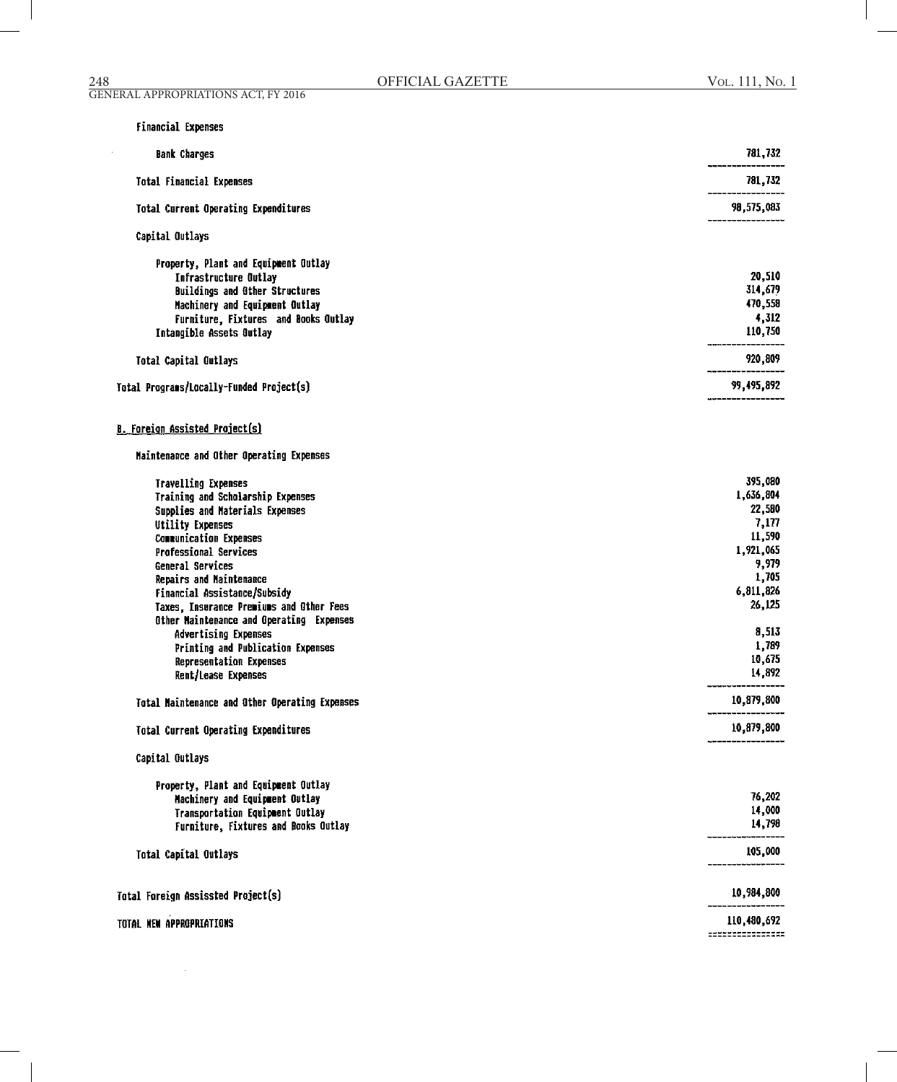$\sim$ 

| <b>Financial Expenses</b>                                                                                                                                                                                                                                                                                                                                                                                                                                                                                                                                                                                |                                                                                                                                                                           |
|----------------------------------------------------------------------------------------------------------------------------------------------------------------------------------------------------------------------------------------------------------------------------------------------------------------------------------------------------------------------------------------------------------------------------------------------------------------------------------------------------------------------------------------------------------------------------------------------------------|---------------------------------------------------------------------------------------------------------------------------------------------------------------------------|
| <b>Bank Charges</b>                                                                                                                                                                                                                                                                                                                                                                                                                                                                                                                                                                                      | 781,732                                                                                                                                                                   |
| <b>Total Financial Expenses</b>                                                                                                                                                                                                                                                                                                                                                                                                                                                                                                                                                                          | 781,732                                                                                                                                                                   |
| Total Current Operating Expenditures                                                                                                                                                                                                                                                                                                                                                                                                                                                                                                                                                                     | 98,575,083                                                                                                                                                                |
| Capital Outlays                                                                                                                                                                                                                                                                                                                                                                                                                                                                                                                                                                                          |                                                                                                                                                                           |
| Property, Plant and Equipment Outlay<br><b>Infrastructure Outlay</b><br><b>Buildings and Other Structures</b><br>Machinery and Equipment Outlay<br>Furniture, Fixtures and Books Outlay<br>Intangible Assets Outlay                                                                                                                                                                                                                                                                                                                                                                                      | 20,510<br>314,679<br>470,558<br>4,312<br>110,750                                                                                                                          |
| <b>Total Capital Outlays</b>                                                                                                                                                                                                                                                                                                                                                                                                                                                                                                                                                                             | 920,809                                                                                                                                                                   |
| Total Programs/Locally-Funded Project(s)                                                                                                                                                                                                                                                                                                                                                                                                                                                                                                                                                                 | 99,495,892                                                                                                                                                                |
| <b>B. Foreign Assisted Project(s)</b><br>Maintenance and Other Operating Expenses                                                                                                                                                                                                                                                                                                                                                                                                                                                                                                                        |                                                                                                                                                                           |
| <b>Travelling Expenses</b><br>Training and Scholarship Expenses<br>Supplies and Materials Expenses<br><b>Utility Expenses</b><br><b>Communication Expenses</b><br><b>Professional Services</b><br>General Services<br>Repairs and Naintenance<br>Financial Assistance/Subsidy<br>Taxes, Insurance Premiums and Other Fees<br>Other Maintenance and Operating Expenses<br>Advertising Expenses<br>Printing and Publication Expenses<br>Representation Expenses<br>Rent/Lease Expenses<br>Total Maintenance and Other Operating Expenses<br><b>Total Current Operating Expenditures</b><br>Capital Outlays | 395,080<br>1,636,804<br>22,580<br>7,177<br>11,590<br>1,921,065<br>9,979<br>1,705<br>6,811,826<br>26,125<br>8,513<br>1,789<br>10,675<br>14,892<br>10,879,800<br>10,879,800 |
| Property, Plant and Equipment Outlay<br>Machinery and Equipment Outlay<br>Transportation Equipment Outlay                                                                                                                                                                                                                                                                                                                                                                                                                                                                                                | 76,202<br>14,000                                                                                                                                                          |
| Furniture, Fixtures and Books Outlay                                                                                                                                                                                                                                                                                                                                                                                                                                                                                                                                                                     | 14,798                                                                                                                                                                    |
| Total Capital Outlays                                                                                                                                                                                                                                                                                                                                                                                                                                                                                                                                                                                    | 105,000                                                                                                                                                                   |
| Total Foreign Assissted Project(s)                                                                                                                                                                                                                                                                                                                                                                                                                                                                                                                                                                       | 10,984,800                                                                                                                                                                |
| TOTAL NEW APPROPRIATIONS                                                                                                                                                                                                                                                                                                                                                                                                                                                                                                                                                                                 | 110,480,692<br>===============                                                                                                                                            |
|                                                                                                                                                                                                                                                                                                                                                                                                                                                                                                                                                                                                          |                                                                                                                                                                           |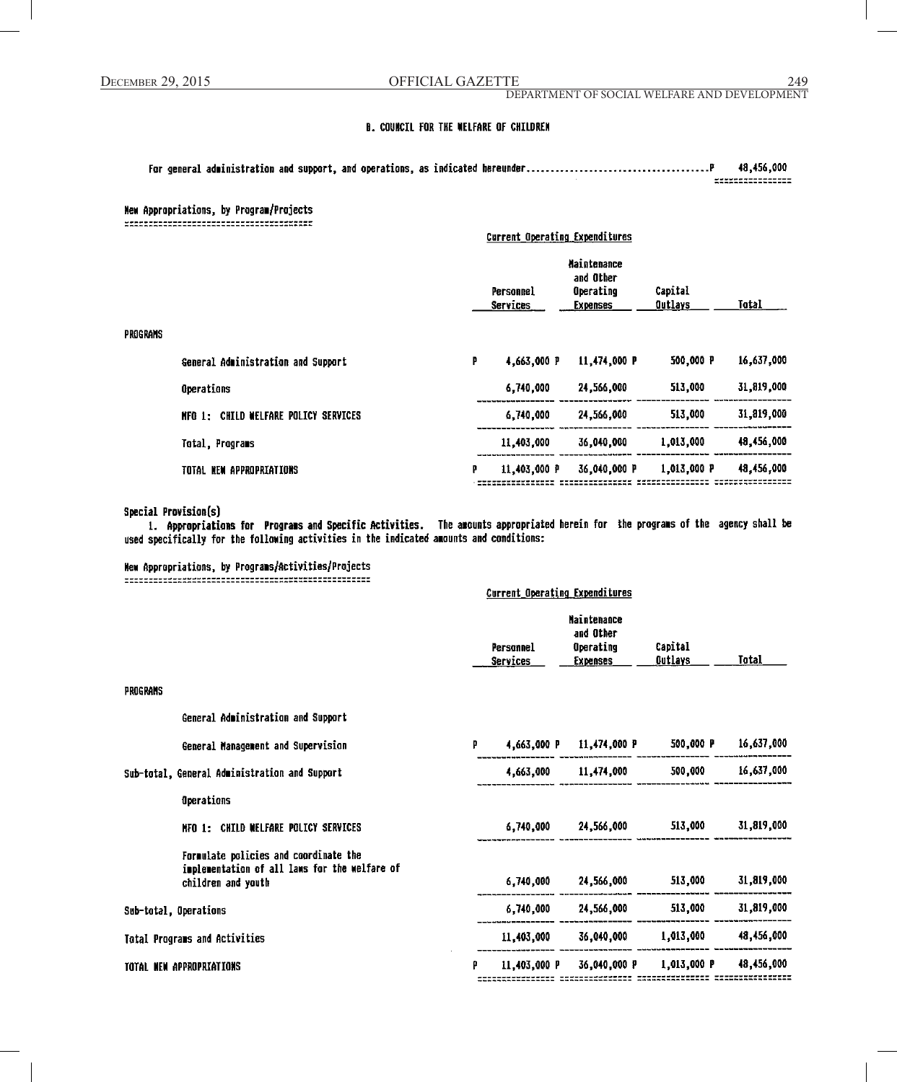DEPARTMENT OF SOCIAL WELFARE AND DEVELOPMENT

#### **B. COUNCIL FOR THE WELFARE OF CHILDREN**

| 48.456.000                           |
|--------------------------------------|
| ----------------<br>---------------- |
|                                      |

#### **Hew Appropriations, by Program/Projects**

**Current Operating Expenditures Maintenance** and Other Personnel Operating Capital **Services Expenses Outlays** Total **PROGRAMS** 4,663,000 P 11,474,000 P 500,000 P 16,637,000 General Administration and Support p Operations 6,740,000 24,566,000 513,000 31,819,000 MFO 1: CHILD WELFARE POLICY SERVICES 24,566,000 513,000 31,819,000 6,740,000 48,456,000 11,403,000 36,040,000 1,013,000 Total, Programs TOTAL NEW APPROPRIATIONS 11,403,000 P 36,040,000 P 1,013,000 P 48,456,000 p 

#### Special Provision(s)

1. Appropriations for Programs and Specific Activities. The amounts appropriated herein for the programs of the agency shall be used specifically for the following activities in the indicated amounts and conditions:

Current Operation Expanditures

# New Appropriations, by Programs/Activities/Projects

|                                                                                                              | AGLI CILE About STEDA EVERYHAT PRI AS |                       |                                                                 |                            |            |
|--------------------------------------------------------------------------------------------------------------|---------------------------------------|-----------------------|-----------------------------------------------------------------|----------------------------|------------|
|                                                                                                              |                                       | Personnel<br>Services | <b>Maintenance</b><br>and Other<br>Operating<br><b>Expenses</b> | Capital<br><u> Outlays</u> | Total      |
| PROGRAMS                                                                                                     |                                       |                       |                                                                 |                            |            |
| General Administration and Support                                                                           |                                       |                       |                                                                 |                            |            |
| General Management and Supervision                                                                           | P                                     |                       | 4,663,000 P 11,474,000 P                                        | 500,000 P                  | 16,637,000 |
| Sub-total, General Administration and Support                                                                |                                       | 4,663,000             | 11,474,000                                                      | 500,000                    | 16,637,000 |
| Operations                                                                                                   |                                       |                       |                                                                 |                            |            |
| NFO 1: CHILD WELFARE POLICY SERVICES                                                                         |                                       | 6,740,000             | 24,566,000 24,566                                               | 513,000                    | 31,819,000 |
| Formulate policies and coordinate the<br>implementation of all laws for the welfare of<br>children and youth |                                       | 6,740,000             | 24,566,000                                                      | 513,000                    | 31,819,000 |
| Sub-total, Operations                                                                                        |                                       | 6,740,000             | 24,566,000                                                      | 513,000                    | 31,819,000 |
| Total Programs and Activities                                                                                |                                       | 11,403,000            | 36,040,000                                                      | 1,013,000                  | 48,456,000 |
| <b>TOTAL NEW APPROPRIATIONS</b>                                                                              | p                                     | 11,403,000 P          | 36,040,000 P                                                    | 1,013,000 P                | 48,456,000 |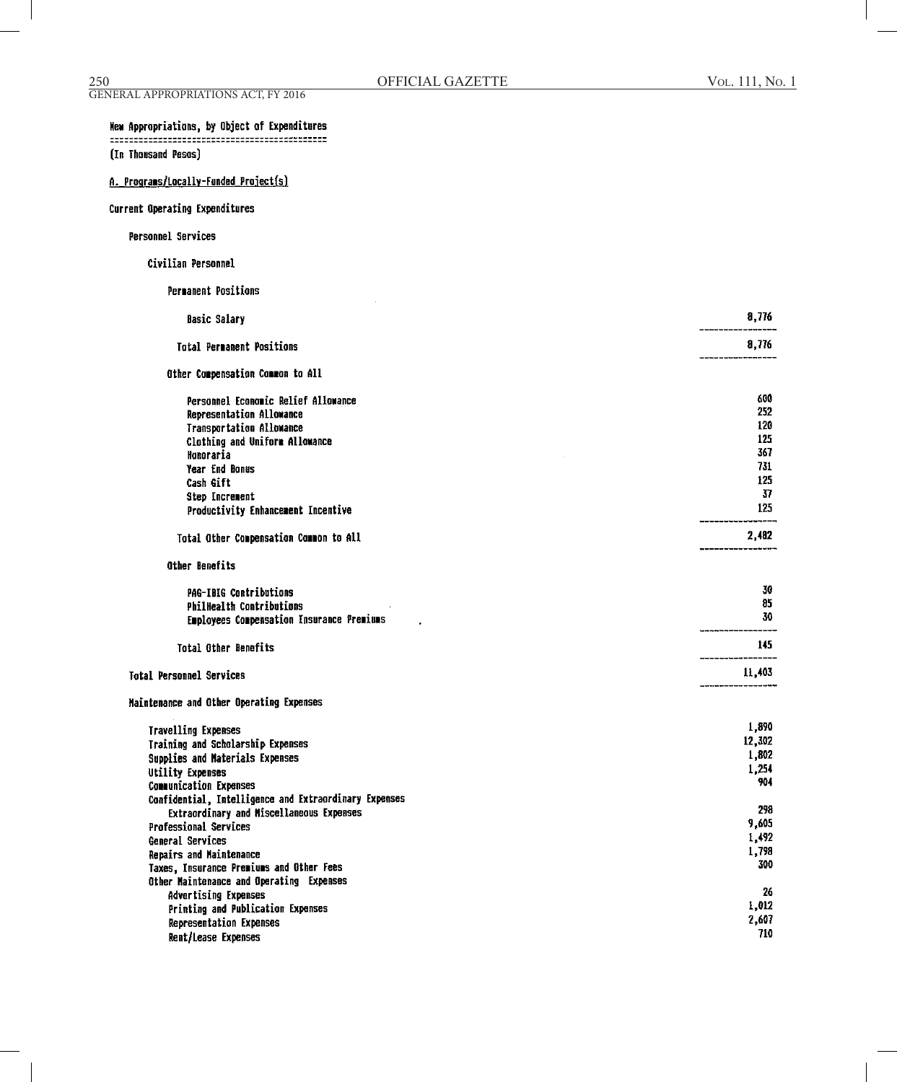$\mathcal{L}$ 

| VOL. 111, No. 1 |  |  |  |
|-----------------|--|--|--|
|-----------------|--|--|--|

# (In Thousand Pesos)

A. Programs/Locally-Funded Project(s)

# Current Operating Expenditures

# Personnel Services

#### Civilian Personnel

**Permanent Positions** 

| <b>Basic Salary</b>                                                                                                                                                          | 8,776                                    |
|------------------------------------------------------------------------------------------------------------------------------------------------------------------------------|------------------------------------------|
| <b>Total Permanent Positions</b>                                                                                                                                             | 8,776                                    |
| Other Compensation Common to All                                                                                                                                             |                                          |
| Personnel Economic Relief Allowance<br>Representation Allowance                                                                                                              | 600<br>252<br>120                        |
| Transportation Allowance<br>Clothing and Uniform Allowance<br>Honoraria                                                                                                      | 125<br>367                               |
| <b>Year End Bonus</b><br>Cash Gift                                                                                                                                           | 731<br>125                               |
| Step Increment<br>Productivity Enhancement Incentive                                                                                                                         | 37<br>125                                |
| Total Other Compensation Common to All                                                                                                                                       | 2,482                                    |
| Other Benefits                                                                                                                                                               |                                          |
| <b>PAG-IBIG Contributions</b><br>PhilHealth Contributions<br>Employees Compensation Insurance Premiums                                                                       | 30<br>85<br>30                           |
| <b>Total Other Benefits</b>                                                                                                                                                  | 145                                      |
| <b>Total Personnel Services</b>                                                                                                                                              | 11,403                                   |
| Maintenance and Other Operating Expenses                                                                                                                                     |                                          |
| <b>Travelling Expenses</b><br>Training and Scholarship Expenses<br>Supplies and Naterials Expenses<br><b>Utility Expenses</b><br><b>Communication Expenses</b>               | 1,890<br>12,302<br>1,802<br>1,254<br>904 |
| Confidential, Intelligence and Extraordinary Expenses<br>Extraordinary and Miscellaneous Expenses<br><b>Professional Services</b><br>General Services                        | 298<br>9,605<br>1,492<br>1,798           |
| Repairs and Maintenance<br>Taxes, Insurance Premiums and Other Fees<br>Other Maintenance and Operating Expenses<br>Advertising Expenses<br>Printing and Publication Expenses | 300<br>26<br>1,012                       |
| <b>Representation Expenses</b><br>Rent/Lease Expenses                                                                                                                        | 2.607<br>710                             |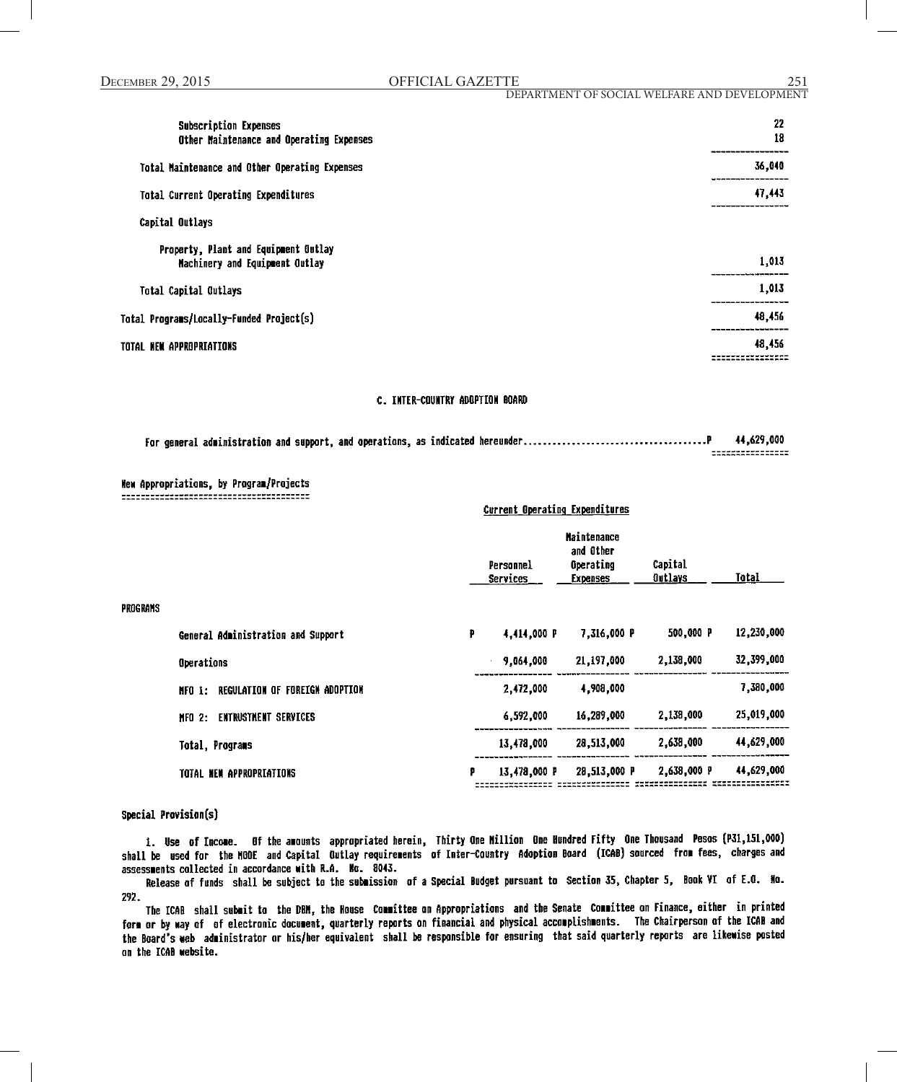|--|

DEPARTMENT OF SOCIAL WELFARE AND DEVELOPMENT

| Subscription Expenses<br>Other Maintenance and Operating Expenses      | 22<br>18                                |
|------------------------------------------------------------------------|-----------------------------------------|
| Total Maintenance and Other Operating Expenses                         | 36,040                                  |
| <b>Total Current Operating Expenditures</b>                            | -----------<br>47,443<br>-------------- |
| Capital Outlays                                                        |                                         |
| Property, Plant and Equipment Outlay<br>Machinery and Equipment Outlay | 1,013                                   |
| Total Capital Outlays                                                  | 1,013                                   |
| Total Programs/Locally-Funded Project(s)                               | 48,456                                  |
| TOTAL NEW APPROPRIATIONS                                               | 48,456<br>----------                    |

# C. INTER-COUNTRY ADOPTION BOARD

|  | 44,629,000                           |
|--|--------------------------------------|
|  | ----------------<br>---------------- |

Current Operating Expenditures

# New Appropriations, by Program/Projects

|          |                                          |   | Personnel<br><b>Services</b> | <b>Maintenance</b><br>and Other<br>Operating<br><b>Expenses</b> | Capital<br><b>Outlays</b> | Total      |
|----------|------------------------------------------|---|------------------------------|-----------------------------------------------------------------|---------------------------|------------|
| PROGRAMS |                                          |   |                              |                                                                 |                           |            |
|          | General Administration and Support       | p | 4,414,000 P                  | 7,316,000 P                                                     | 500,000 P                 | 12,230,000 |
|          | Operations                               |   | 9,064,000                    | 21,197,000                                                      | 2,138,000                 | 32,399,000 |
|          | REGULATION OF FOREIGN ADOPTION<br>NFO 1: |   | 2,472,000                    | 4,908,000                                                       |                           | 7,380,000  |
|          | <b>ENTRUSTMENT SERVICES</b><br>HFO<br>2: |   | 6,592,000                    | 16,289,000                                                      | 2,138,000                 | 25,019,000 |
|          | <b>Total, Programs</b>                   |   | 13,478,000                   | 28,513,000                                                      | 2,638,000                 | 44,629,000 |
|          | TOTAL NEW APPROPRIATIONS                 | p | 13,478,000 P                 | 28,513,000 P                                                    | 2,638,000 P               | 44,629,000 |
|          |                                          |   |                              |                                                                 |                           |            |

#### Special Provision(s)

1. Use of Income. Of the amounts appropriated herein, Thirty One Million One Hundred Fifty One Thousand Pesos (P31,151,000) shall be used for the NOOE and Capital Outlay requirements of Inter-Country Adoption Board (ICAB) sourced from fees, charges and assessments collected in accordance with R.A. No. 8043.

Release of funds shall be subject to the submission of a Special Budget pursuant to Section 35, Chapter 5, Book VI of E.O. No. 292.

The ICAB shall submit to the DBM, the House Committee on Appropriations and the Senate Committee on Finance, either in printed form or by way of of electronic document, quarterly reports on financial and physical accomplishments. The Chairperson of the ICAB and the Board's web administrator or his/her equivalent shall be responsible for ensuring that said quarterly reports are likewise posted on the ICAB website.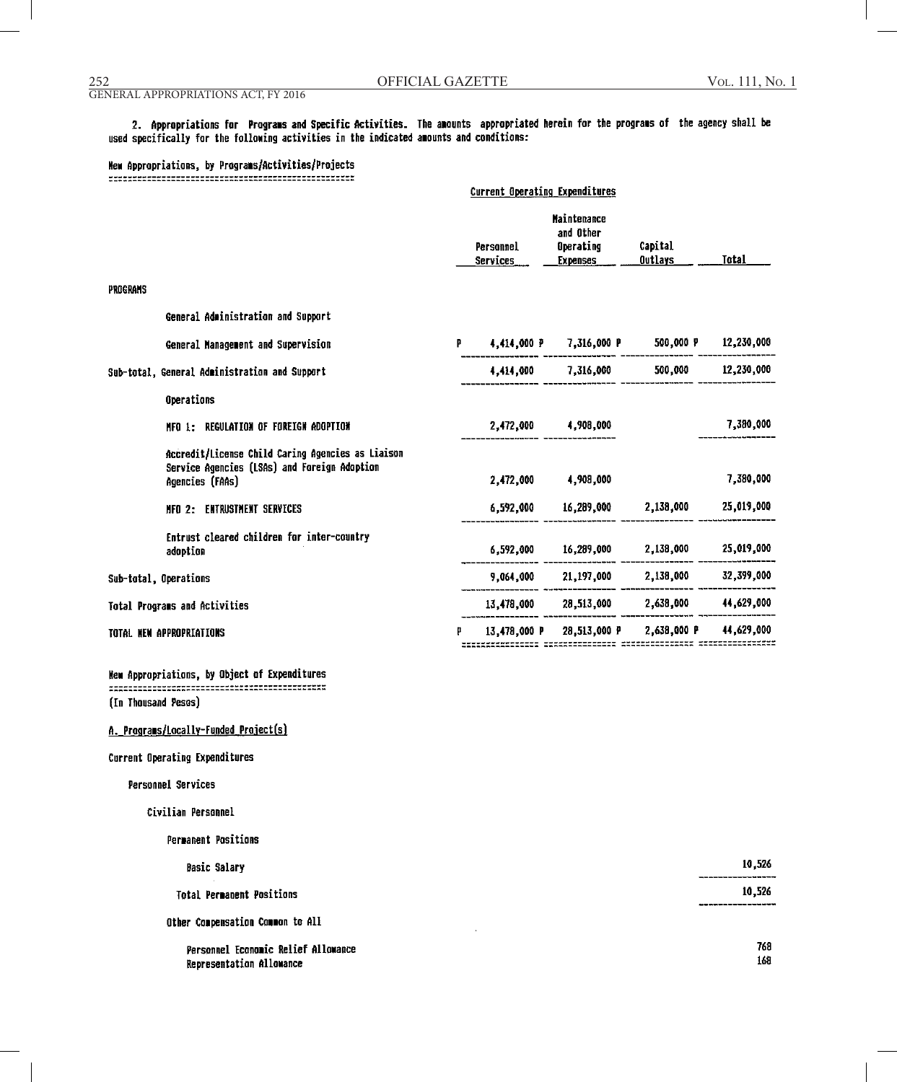#### GENERAL APPROPRIATIONS ACT, FY 2016

2. Appropriations for Programs and Specific Activities. The amounts appropriated herein for the programs of the agency shall be used specifically for the following activities in the indicated amounts and conditions:

Current Operating Expenditures

# New Appropriations, by Programs/Activities/Projects

|          |                                                                                                                      |   | Personnel<br><b>Services</b> | <b>Maintenance</b><br>and Other<br>Operating<br><b>Expenses</b> | Capital<br><b>Outlays</b>      | <b>Total</b> |
|----------|----------------------------------------------------------------------------------------------------------------------|---|------------------------------|-----------------------------------------------------------------|--------------------------------|--------------|
| PROGRAMS |                                                                                                                      |   |                              |                                                                 |                                |              |
|          | General Administration and Support                                                                                   |   |                              |                                                                 |                                |              |
|          | General Management and Supervision                                                                                   | Р |                              | 4,414,000 P 7,316,000 P                                         | 500,000 P                      | 12,230,000   |
|          | Sub-total, General Administration and Support                                                                        |   | 4,414,000                    | 7,316,000                                                       | 500,000                        | 12,230,000   |
|          | Operations                                                                                                           |   |                              |                                                                 |                                |              |
|          | MFO 1: REGULATION OF FOREIGN ADOPTION                                                                                |   | 2,472,000                    | 4,908,000                                                       |                                | 7,380,000    |
|          | Accredit/License Child Caring Agencies as Liaison<br>Service Agencies (LSAs) and Foreign Adoption<br>Agencies (FAAs) |   | 2.472.000                    | 4,908,000                                                       |                                | 7,380,000    |
|          | MFO 2: ENTRUSTMENT SERVICES                                                                                          |   | 6,592,000                    | 16,289,000                                                      | 2,138,000                      | 25,019,000   |
|          | Entrust cleared children for inter-country<br>adoption                                                               |   |                              | 6.592.000 16.289.000                                            | 2,138,000                      | 25,019,000   |
|          | Sub-total, Operations                                                                                                |   |                              |                                                                 | 9,064,000 21,197,000 2,138,000 | 32,399,000   |
|          | Total Programs and Activities                                                                                        |   |                              | 13,478,000 28,513,000 2,638,000                                 |                                | 44,629,000   |
|          | TOTAL NEW APPROPRIATIONS                                                                                             |   | 13,478,000 P                 |                                                                 | 28,513,000 P 2,638,000 P       | 44,629,000   |
|          |                                                                                                                      |   |                              |                                                                 |                                |              |

# 

(In Thousand Pesos)

# A. Programs/Locally-Funded Project(s)

Current Operating Expenditures

#### Personnel Services

Civilian Personnel

| <b>Permanent Positions</b>                                      |            |
|-----------------------------------------------------------------|------------|
| <b>Basic Salary</b>                                             | 10.526     |
| <b>Total Permanent Positions</b>                                | 10,526     |
| Other Compensation Common to All                                |            |
| Personnel Economic Relief Allowance<br>Representation Allowance | 768<br>168 |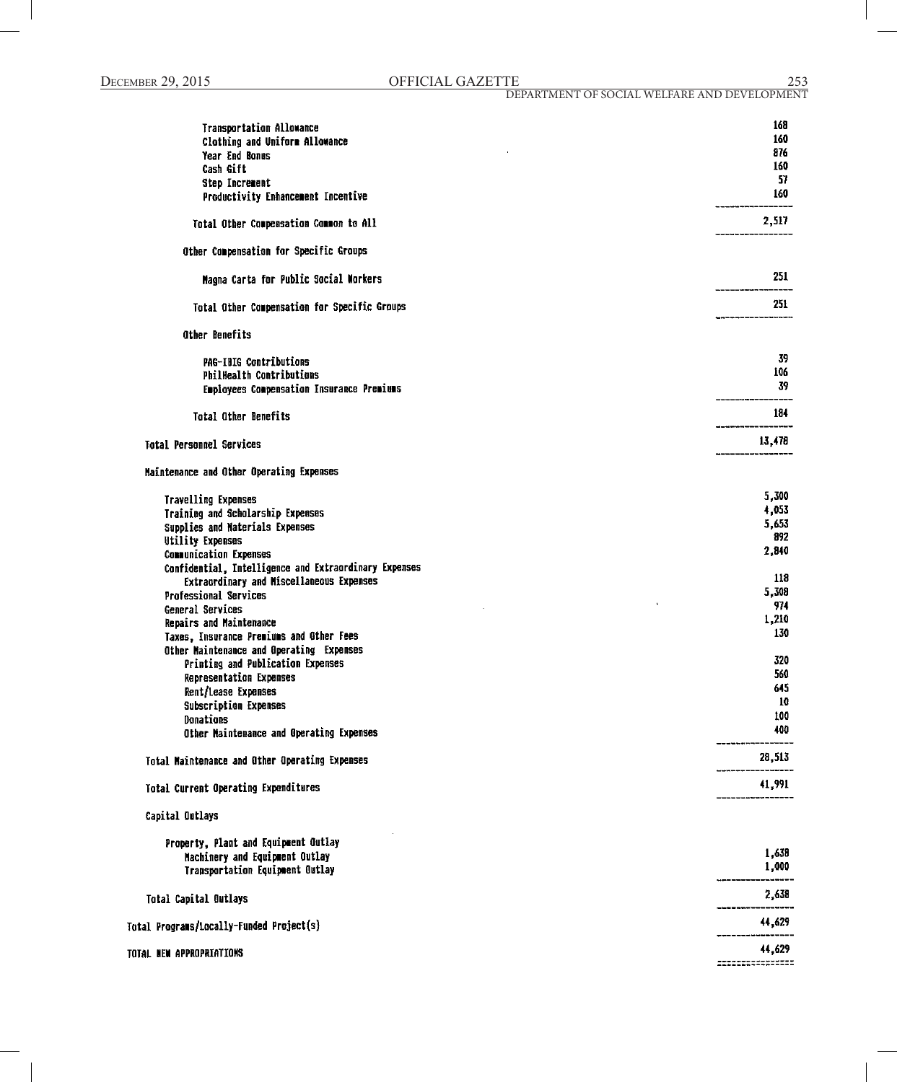| <b>Transportation Allowance</b>                       | 168    |
|-------------------------------------------------------|--------|
| Clothing and Uniform Allowance                        | 160    |
| Year End Bonus                                        | 876    |
| Cash Gift                                             | 160    |
|                                                       | 57     |
| <b>Step Increment</b>                                 | 160    |
| Productivity Enhancement Incentive                    |        |
| Total Other Compensation Common to All                | 2,517  |
| Other Compensation for Specific Groups                |        |
| Magna Carta for Public Social Morkers                 | 251    |
| Total Other Compensation for Specific Groups          | 251    |
| Other Benefits                                        |        |
| <b>PAG-IBIG Contributions</b>                         | 39     |
| <b>PhilHealth Contributions</b>                       | 106    |
| Employees Compensation Insurance Premiums             | 39     |
|                                                       |        |
| <b>Total Other Benefits</b>                           | 184    |
| <b>Total Personnel Services</b>                       | 13,478 |
| Maintenance and Other Operating Expenses              |        |
| <b>Travelling Expenses</b>                            | 5,300  |
| Training and Scholarship Expenses                     | 4,053  |
| Supplies and Materials Expenses                       | 5,653  |
| <b>Utility Expenses</b>                               | 892    |
| <b>Communication Expenses</b>                         | 2,840  |
| Confidential, Intelligence and Extraordinary Expenses |        |
| Extraordinary and Miscellaneous Expenses              | 118    |
| Professional Services                                 | 5,308  |
|                                                       | 974    |
| General Services                                      | 1,210  |
| Repairs and Maintenance                               | 130    |
| Taxes, Insurance Premiums and Other Fees              |        |
| Other Maintenance and Operating Expenses              |        |
| Printing and Publication Expenses                     | 320    |
| <b>Representation Expenses</b>                        | 560    |
| Rent/Lease Expenses                                   | 645    |
| <b>Subscription Expenses</b>                          | 10     |
| Donations                                             | 100    |
| Other Naintenance and Operating Expenses              | 400    |
| Total Maintenance and Other Operating Expenses        | 28,513 |
| <b>Total Current Operating Expenditures</b>           | 41,991 |
| Capital Outlays                                       |        |
|                                                       |        |
| Property, Plant and Equipment Outlay                  | 1,638  |
| Machinery and Equipment Outlay                        | 1,000  |
| Transportation Equipment Outlay                       |        |
| Total Capital Outlays                                 | 2,638  |
| Total Programs/Locally-Funded Project(s)              | 44,629 |
| TOTAL NEW APPROPRIATIONS                              | 44,629 |
|                                                       |        |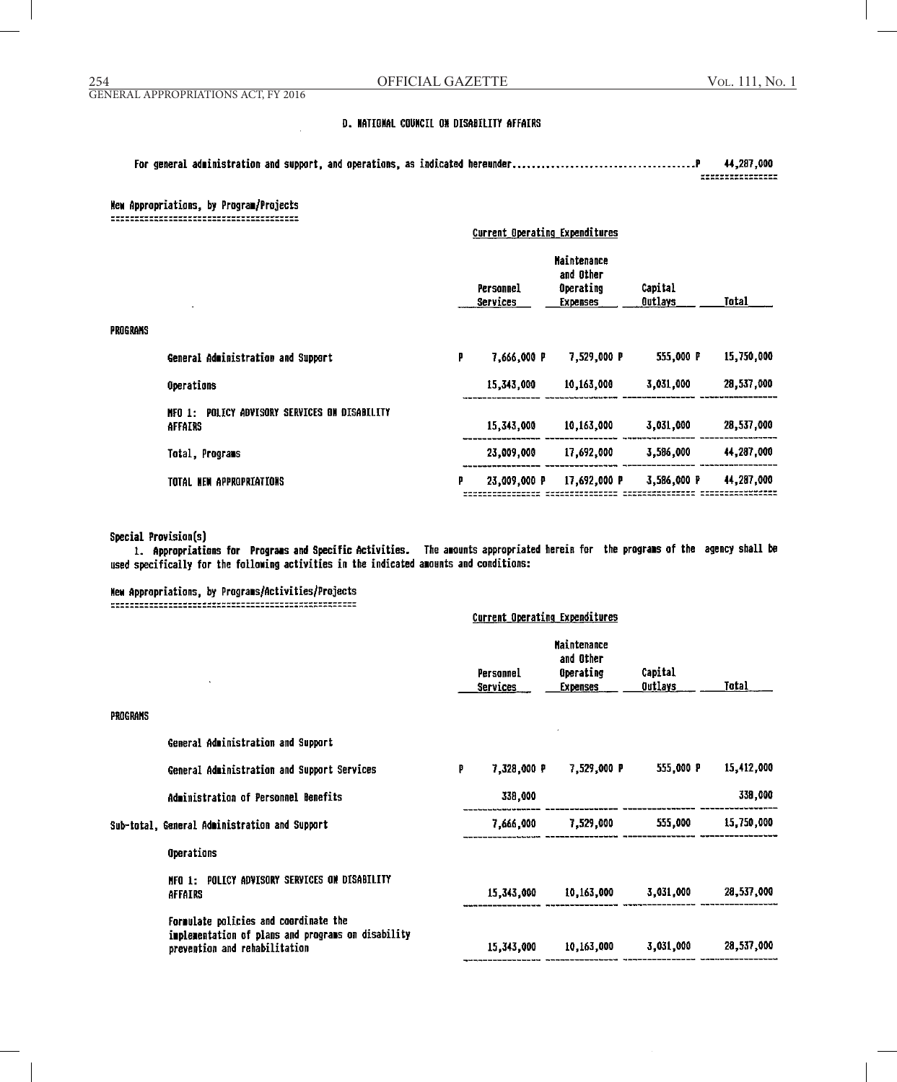#### GENERAL APPROPRIATIONS ACT, FY 2016

# D. NATIGNAL COUNCIL ON DISABILITY AFFAIRS

44,287,000 \*\*\*\*\*\*\*\*\*\*\*\*\*\*\*\*

# New Appropriations, by Program/Projects

|          |                                                             | Current Operating Expenditures |                       |                                                          |                           |            |
|----------|-------------------------------------------------------------|--------------------------------|-----------------------|----------------------------------------------------------|---------------------------|------------|
|          |                                                             |                                | Personnel<br>Services | Maintenance<br>and Other<br>Operating<br><b>Expenses</b> | Capital<br><b>Outlays</b> | Total      |
| PROGRAMS |                                                             |                                |                       |                                                          |                           |            |
|          | General Administration and Support                          | P                              | 7,666,000 P           | 7,529,000 P                                              | 555,000 P                 | 15,750,000 |
|          | Operations                                                  |                                | 15,343,000            | 10,163,000                                               | 3,031,000                 | 28,537,000 |
|          | POLICY ADVISORY SERVICES ON DISABILITY<br>NFO 1:<br>AFFAIRS |                                | 15,343,000            | 10,163,000                                               | 3,031,000                 | 28,537,000 |
|          | Total, Programs                                             |                                | 23,009,000            | 17,692,000                                               | 3,586,000                 | 44,287,000 |
|          | TOTAL NEW APPROPRIATIONS                                    | p                              | 23,009,000 P          | 17,692,000 P                                             | 3,586,000 P               | 44,287,000 |

# Special Provision(s)

1. Appropriations for Programs and Specific Activities. The amounts appropriated herein for the programs of the agency shall be used specifically for the following activities in the indicated amounts and conditions:

# New Appropriations, by Programs/Activities/Projects

| <b>Current Operating Expenditures</b>                                                                                        |   |                              |                                                          |                           |                                                 |
|------------------------------------------------------------------------------------------------------------------------------|---|------------------------------|----------------------------------------------------------|---------------------------|-------------------------------------------------|
|                                                                                                                              |   | Personnel<br><b>Services</b> | <b>Maintenance</b><br>and Other<br>Operating<br>Expenses | Capital<br><u>Outlays</u> | Total                                           |
|                                                                                                                              |   |                              |                                                          |                           |                                                 |
| General Administration and Support                                                                                           |   |                              |                                                          |                           |                                                 |
| General Administration and Support Services                                                                                  | P | 7,328,000 P                  |                                                          | 555,000 P                 | 15,412,000                                      |
| Administration of Personnel Benefits                                                                                         |   | 338,000                      |                                                          |                           | 338,000                                         |
| Sub-total, General Administration and Support                                                                                |   |                              |                                                          | 555,000                   | 15,750,000                                      |
| Operations                                                                                                                   |   |                              |                                                          |                           |                                                 |
| MFO 1: POLICY ADVISORY SERVICES ON DISABILITY<br>AFFAIRS                                                                     |   | 15,343,000                   |                                                          |                           | 28,537,000                                      |
| Formulate policies and coordinate the<br>implementation of plans and programs on disability<br>prevention and rehabilitation |   | 15,343,000                   |                                                          | 3,031,000                 | 28,537,000                                      |
|                                                                                                                              |   |                              |                                                          | 7,529,000 P<br>7,666,000  | 7,529,000<br>10,163,000 3,031,000<br>10,163,000 |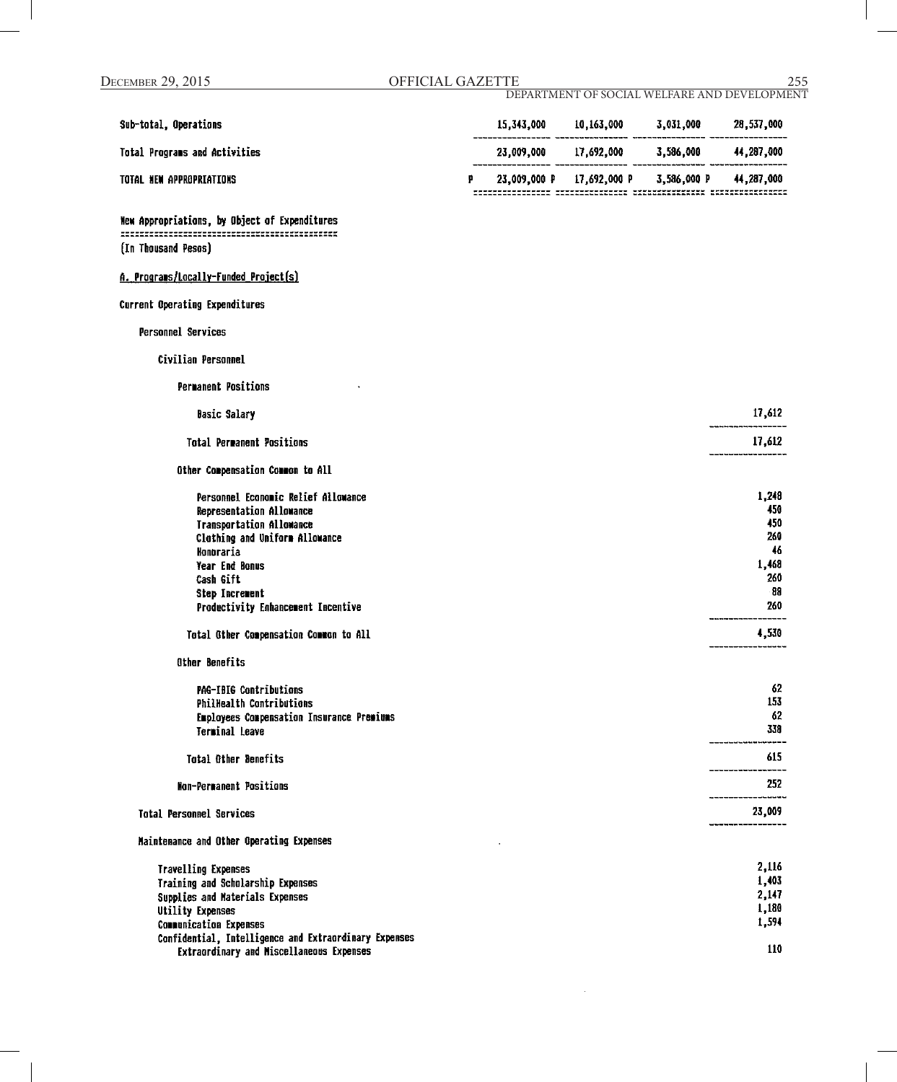| Sub-total, Operations                                                                                                                                                                                                                                                                                       |   | 15,343,000 10,163,000 3,031,000 28,537,000 |                                                                         |
|-------------------------------------------------------------------------------------------------------------------------------------------------------------------------------------------------------------------------------------------------------------------------------------------------------------|---|--------------------------------------------|-------------------------------------------------------------------------|
| Total Programs and Activities                                                                                                                                                                                                                                                                               |   | 23,009,000 17,692,000 3,586,000 44,287,000 |                                                                         |
| TOTAL NEW APPROPRIATIONS                                                                                                                                                                                                                                                                                    | p | 23,009,000 P 17,692,000 P 3,586,000 P      | 44,287,000                                                              |
| New Appropriations, by Object of Expenditures                                                                                                                                                                                                                                                               |   |                                            |                                                                         |
| (In Thousand Pesos)                                                                                                                                                                                                                                                                                         |   |                                            |                                                                         |
| A. Programs/Locally-Funded Project(s)                                                                                                                                                                                                                                                                       |   |                                            |                                                                         |
| Current Operating Expenditures                                                                                                                                                                                                                                                                              |   |                                            |                                                                         |
| Personnel Services                                                                                                                                                                                                                                                                                          |   |                                            |                                                                         |
| Civilian Personnel                                                                                                                                                                                                                                                                                          |   |                                            |                                                                         |
| <b>Permanent Positions</b>                                                                                                                                                                                                                                                                                  |   |                                            |                                                                         |
| <b>Basic Salary</b>                                                                                                                                                                                                                                                                                         |   |                                            | 17,612                                                                  |
| <b>Total Permanent Positions</b>                                                                                                                                                                                                                                                                            |   |                                            | 17,612                                                                  |
| Other Compensation Common to All                                                                                                                                                                                                                                                                            |   |                                            |                                                                         |
| Personnel Economic Relief Allowance<br>Representation Allowance<br><b>Transportation Allowance</b><br>Clothing and Uniform Allowance<br>Honoraría<br>Year End Bonus<br>Cash Gift<br><b>Step Increment</b><br>Productivity Enhancement Incentive<br>Total Other Compensation Common to All<br>Other Benefits |   |                                            | 1,248<br>450<br>450<br>260<br>46<br>1,468<br>260<br>-88<br>260<br>4,530 |
| PAG-IBIG Contributions<br>PhilHealth Contributions<br>Employees Compensation Insurance Premiums<br><b>Terminal Leave</b>                                                                                                                                                                                    |   |                                            | 62<br>153<br>62<br>338<br>-----------<br>615                            |
| <b>Total Other Benefits</b>                                                                                                                                                                                                                                                                                 |   |                                            | _____________                                                           |
| <b>Non-Permanent Positions</b>                                                                                                                                                                                                                                                                              |   |                                            | 252                                                                     |
| <b>Total Personnel Services</b>                                                                                                                                                                                                                                                                             |   |                                            | 23,009                                                                  |
| Maintenance and Other Operating Expenses                                                                                                                                                                                                                                                                    |   |                                            |                                                                         |
| <b>Travelling Expenses</b><br>Training and Scholarship Expenses<br>Supplies and Materials Expenses<br><b>Utility Expenses</b><br><b>Communication Expenses</b><br>Confidential, Intelligence and Extraordinary Expenses                                                                                     |   |                                            | 2,116<br>1,403<br>2,147<br>1,180<br>1,594                               |
| Extraordinary and Miscellaneous Expenses                                                                                                                                                                                                                                                                    |   |                                            | 110                                                                     |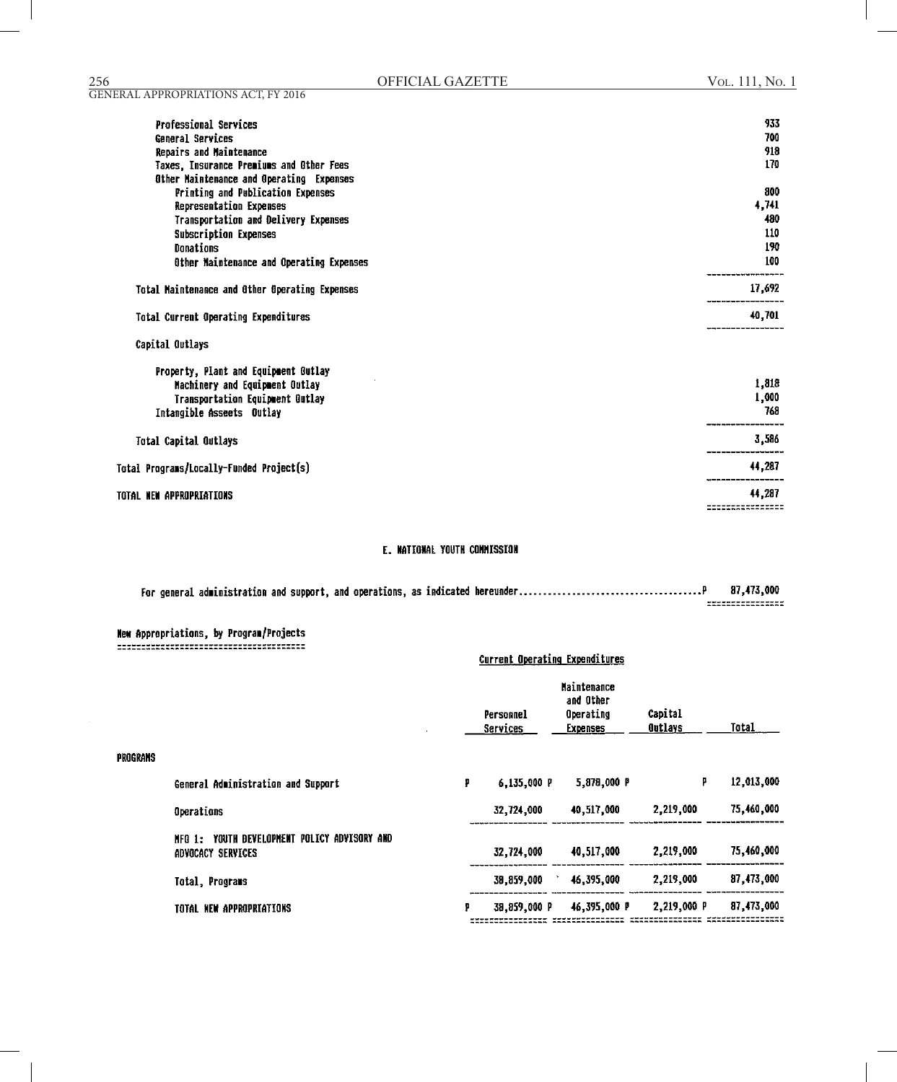| <b>Professional Services</b>                   | 933                    |
|------------------------------------------------|------------------------|
| General Services                               | 700                    |
| Repairs and Maintenance                        | 918                    |
| Taxes, Insurance Premiums and Other Fees       | 170                    |
| Other Maintenance and Operating Expenses       |                        |
| Printing and Publication Expenses              | 800                    |
| Representation Expenses                        | 4,741                  |
| Transportation and Delivery Expenses           | 480                    |
| <b>Subscription Expenses</b>                   | 110                    |
| Donations                                      | 190                    |
| Other Maintenance and Operating Expenses       | 100                    |
| Total Maintenance and Other Operating Expenses | 17,692                 |
| Total Current Operating Expenditures           | ------------<br>40,701 |
| Capital Outlays                                |                        |
| <b>Property. Plant and Equipment Outlay</b>    |                        |

| Machinery and Equipment Outlay           | 1,818  |
|------------------------------------------|--------|
| Transportation Equipment Outlay          | 1,000  |
| Intangible Asseets Outlay                | 768    |
| Total Capital Outlays                    | 3,586  |
| Total Programs/Locally-Funded Project(s) | 44,287 |
| TOTAL NEW APPROPRIATIONS                 | 44,287 |

# E. NATIONAL YOUTH COMMISSION

|  | 87.473.000                           |
|--|--------------------------------------|
|  | ----------------<br>---------------- |

|          |                                                                      | Current Operating Expenditures |                              |                                                                 |                    |            |
|----------|----------------------------------------------------------------------|--------------------------------|------------------------------|-----------------------------------------------------------------|--------------------|------------|
|          |                                                                      |                                | Personnel<br><b>Services</b> | <b>Maintenance</b><br>and Other<br>Operating<br><b>Expenses</b> | Capital<br>Outlays | Total      |
| PROGRANS |                                                                      |                                |                              |                                                                 |                    |            |
|          | General Administration and Support                                   | P                              | 6,135,000 P                  | 5,878,000 P                                                     | P                  | 12,013,000 |
|          | Operations                                                           |                                | 32,724,000                   | 40,517,000                                                      | 2,219,000          | 75,460,000 |
|          | YOUTH DEVELOPMENT POLICY ADVISORY AND<br>NFO 1:<br>ADVOCACY SERVICES |                                | 32,724,000                   | 40,517,000                                                      | 2,219,000          | 75,460,000 |
|          | Total, Programs                                                      |                                | 38,859,000                   | 46,395,000                                                      | 2,219,000          | 87,473,000 |
|          | TOTAL NEW APPROPRIATIONS                                             | p                              | 38,859,000 P                 | 46,395,000 P                                                    | 2,219,000 P        | 87,473,000 |

GENERAL APPROPRIATIONS ACT, FY 2016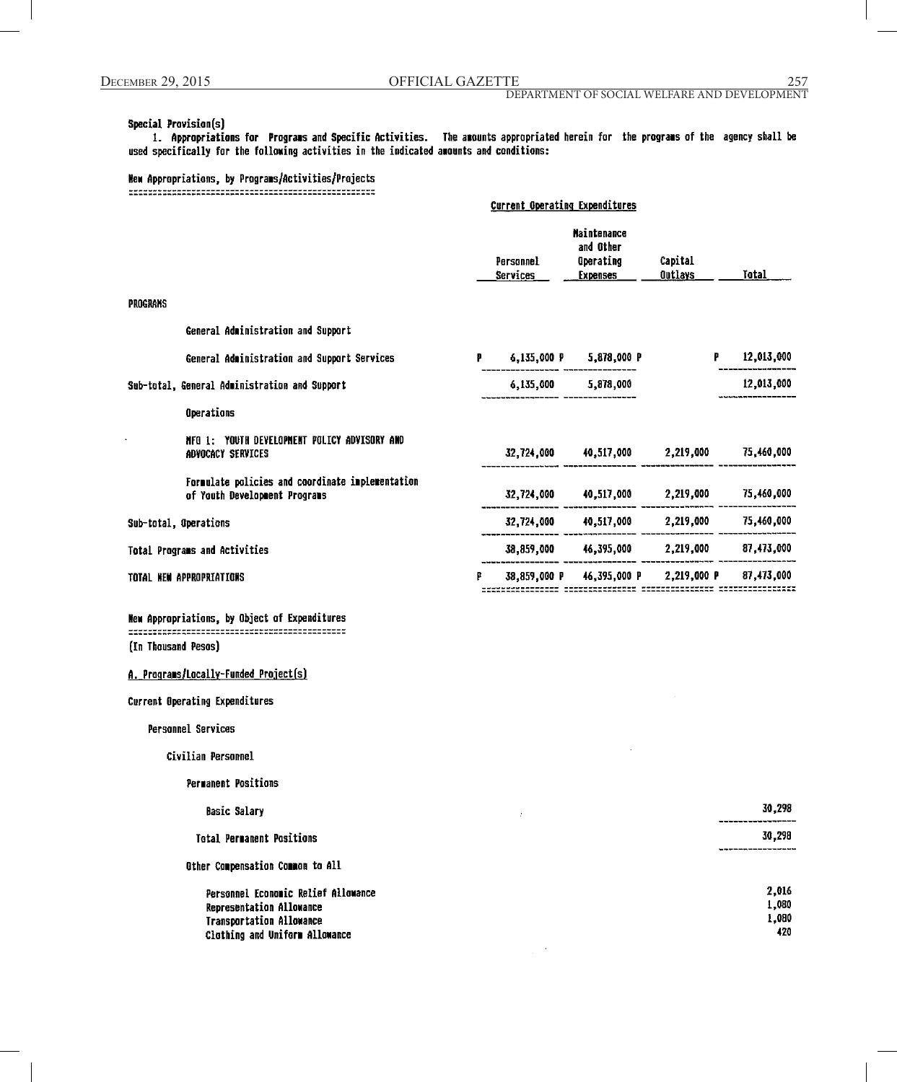#### Special Provision(s)

1. Appropriations for Programs and Specific Activities. The amounts appropriated herein for the programs of the agency shall be used specifically for the following activities in the indicated amounts and conditions:

# New Appropriations, by Programs/Activities/Projects

|                       |                                                                                   | <b>Current Operating Expenditures</b> |                       |                                                                 |                           |            |
|-----------------------|-----------------------------------------------------------------------------------|---------------------------------------|-----------------------|-----------------------------------------------------------------|---------------------------|------------|
|                       |                                                                                   |                                       | Personnel<br>Services | <b>Maintenance</b><br>and Other<br>Operating<br><b>Expenses</b> | Capital<br><b>Outlays</b> | Total      |
| PROGRAMS              |                                                                                   |                                       |                       |                                                                 |                           |            |
|                       | General Administration and Support                                                |                                       |                       |                                                                 |                           |            |
|                       | General Administration and Support Services                                       | Р.                                    |                       | 6,135,000 P 5,878,000 P                                         |                           | 12,013,000 |
|                       | Sub-total, General Administration and Support                                     |                                       | 6,135,000             | 5,878,000                                                       |                           | 12,013,000 |
|                       | Operations                                                                        |                                       |                       |                                                                 |                           |            |
|                       | NFO 1: YOUTH DEVELOPMENT POLICY ADVISORY AND<br>ADVOCACY SERVICES                 |                                       | 32,724,000            | 40,517,000 2,219,000                                            |                           | 75,460,000 |
|                       | Formulate policies and coordinate implementation<br>of Youth Development Programs |                                       | 32,724,000            | 40,517,000                                                      | 2,219,000                 | 75,460,000 |
| Sub-total, Operations |                                                                                   |                                       | 32,724,000            | 40,517,000                                                      | 2,219,000                 | 75,460,000 |
|                       | Total Programs and Activities                                                     |                                       |                       | 38,859,000 46,395,000 2,219,000                                 |                           | 87,473,000 |
|                       | TOTAL NEW APPROPRIATIONS                                                          | р                                     | 38,859,000 P          |                                                                 | 46,395,000 P 2,219,000 P  | 87,473,000 |
|                       |                                                                                   |                                       |                       |                                                                 |                           |            |

New Appropriations, by Object of Expenditures (In Thousand Pesos)

A. Programs/Locally-Funded Project(s)

Current Operating Expenditures

Personnel Services

Civilian Personnel

#### Permanent Positions

#### **Basic Salary**

Total Permanent Positions

Other Compensation Common to All

Personnel Economic Relief Allowance Representation Allowance **Transportation Allowance** Clothing and Uniform Allowance

30,298

# 30,298

| 2,016 |
|-------|
| 1,080 |
| 1,080 |
| 420   |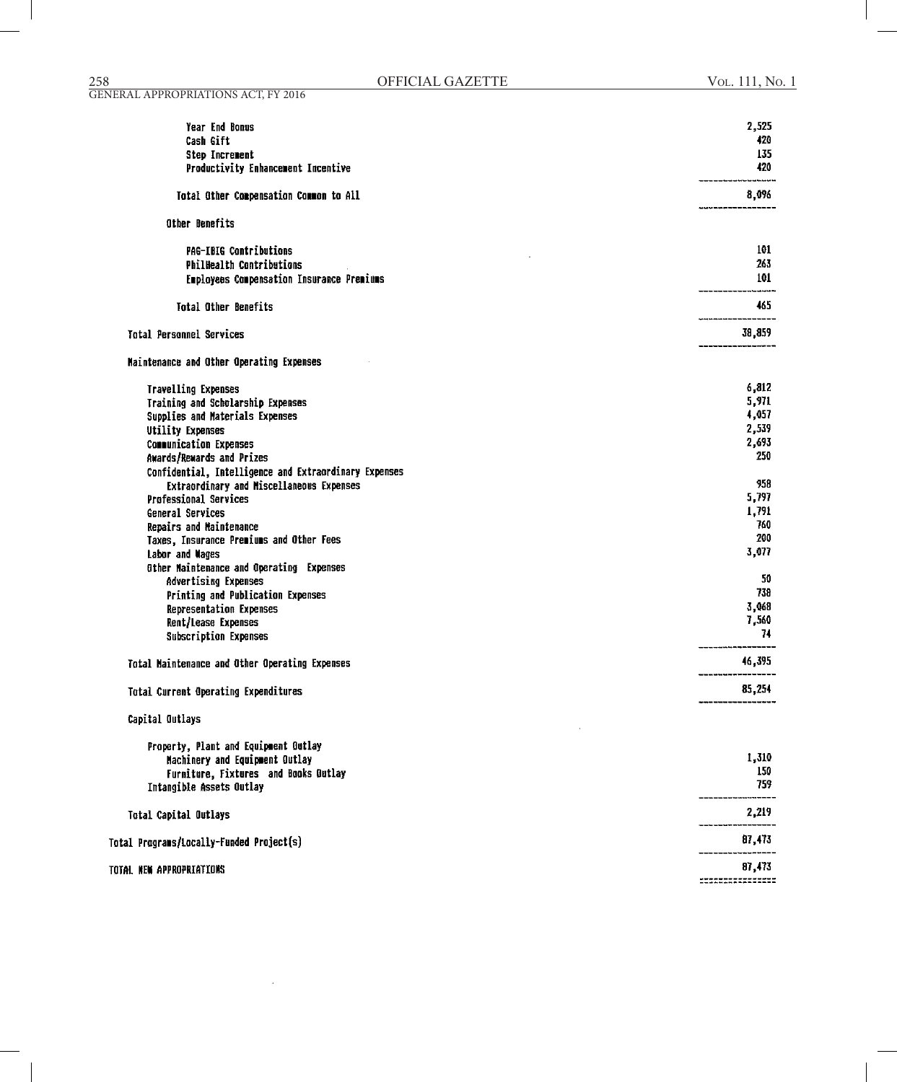| Year End Bonus                                                           | 2,525          |
|--------------------------------------------------------------------------|----------------|
| Cash Gift                                                                | 420            |
| <b>Step Increment</b>                                                    | 135            |
| Productivity Enhancement Incentive                                       | 420            |
| Total Other Compensation Common to All                                   | 8,096          |
| Other Benefits                                                           |                |
| <b>PAG-IBIG Contributions</b>                                            | 101            |
| <b>PhilHealth Contributions</b>                                          | 263            |
| Employees Compensation Insurance Premiums                                | 101            |
| Total Other Benefits                                                     | -------<br>465 |
|                                                                          |                |
| <b>Total Personnel Services</b>                                          | 38,859         |
| Maintenance and Other Operating Expenses                                 |                |
| <b>Travelling Expenses</b>                                               | 6,812          |
| Training and Scholarship Expenses                                        | 5,971          |
| Supplies and Materials Expenses                                          | 4,057          |
| <b>Utility Expenses</b>                                                  | 2,539          |
| <b>Communication Expenses</b>                                            | 2,693<br>250   |
| Awards/Rewards and Prizes                                                |                |
| Confidential, Intelligence and Extraordinary Expenses                    | 958            |
| Extraordinary and Miscellaneous Expenses<br><b>Professional Services</b> | 5,797          |
| General Services                                                         | 1,791          |
| Repairs and Maintenance                                                  | 760            |
| Taxes, Insurance Premiums and Other Fees                                 | 200            |
| Labor and Wages                                                          | 3,077          |
| Other Naintenance and Operating Expenses                                 |                |
| Advertising Expenses                                                     | 50             |
| Printing and Publication Expenses                                        | 738            |
| <b>Representation Expenses</b>                                           | 3,068          |
| Rent/Lease Expenses                                                      | 7,560          |
| Subscription Expenses                                                    | 74             |
| Total Maintenance and Other Operating Expenses                           | 46,395         |
| Total Current Operating Expenditures                                     | 85,254         |
| Capital Outlays                                                          |                |
| Property, Plant and Equipment Outlay                                     |                |
| Machinery and Equipment Outlay                                           | 1,310          |
| Furniture, Fixtures and Books Gutlay                                     | 150            |
| Intangible Assets Outlay                                                 | 759            |
| <b>Total Capital Outlays</b>                                             | 2,219          |
| Total Programs/Locally-Funded Project(s)                                 | 87,473         |
| TOTAL NEW APPROPRIATIONS                                                 | 87,473         |
|                                                                          |                |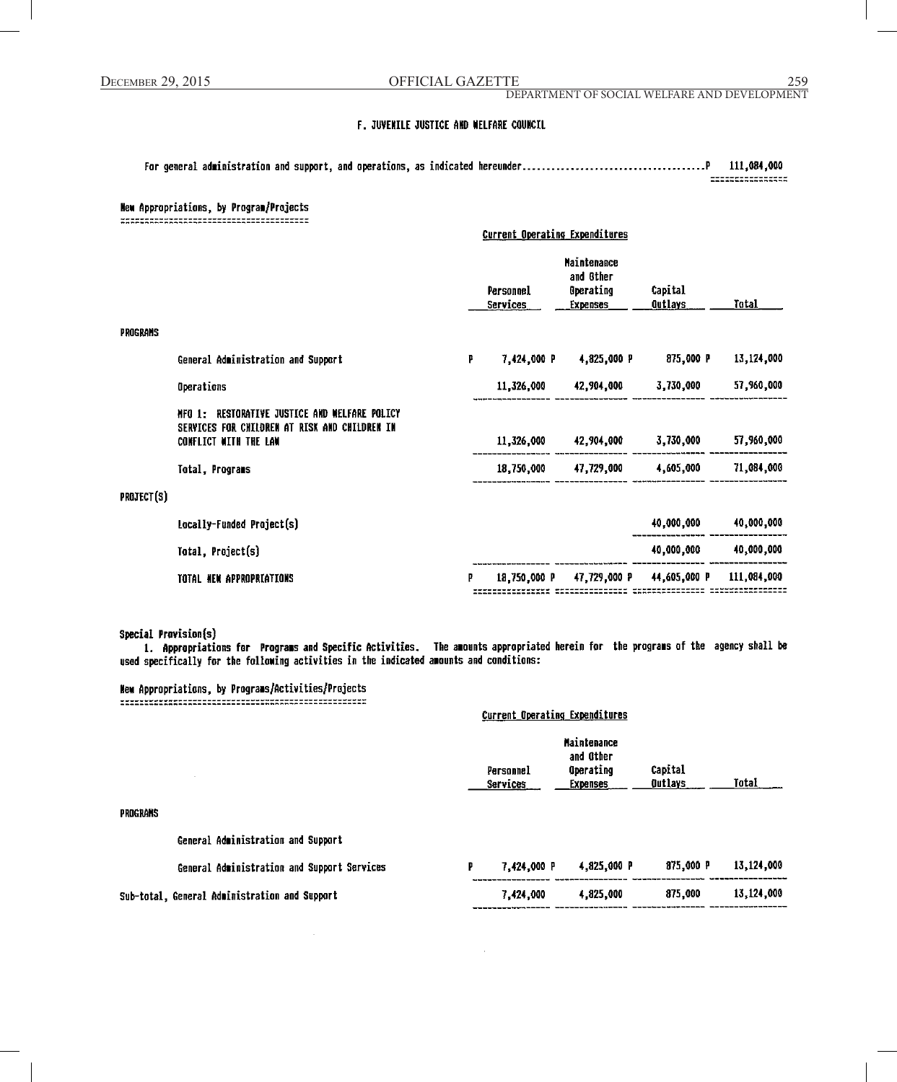DEPARTMENT OF SOCIAL WELFARE AND DEVELOPMENT

#### F. JUVENILE JUSTICE AND WELFARE COUNCIL

111,084,000  $\begin{array}{c} \texttt{m} = \texttt{m} = \texttt{m} = \texttt{m} = \texttt{m} = \texttt{m} = \texttt{m} = \texttt{m} = \texttt{m} = \texttt{m} = \texttt{m} = \texttt{m} = \texttt{m} = \texttt{m} = \texttt{m} = \texttt{m} = \texttt{m} = \texttt{m} = \texttt{m} = \texttt{m} = \texttt{m} = \texttt{m} = \texttt{m} = \texttt{m} = \texttt{m} = \texttt{m} = \texttt{m} = \texttt{m} = \texttt{m} = \texttt{m} = \texttt$ 

#### New Appropriations, by Program/Projects

|                 |                                                                                                                            | <b>Current Operating Expenditures</b> |                              |                                                                        |                           |             |
|-----------------|----------------------------------------------------------------------------------------------------------------------------|---------------------------------------|------------------------------|------------------------------------------------------------------------|---------------------------|-------------|
|                 |                                                                                                                            |                                       | Personnel<br><b>Services</b> | <b>Maintenance</b><br>and Other<br><b>Operating</b><br><b>Expenses</b> | Capital<br><b>Qutlays</b> | Tatal       |
| <b>PROGRAMS</b> |                                                                                                                            |                                       |                              |                                                                        |                           |             |
|                 | General Administration and Support                                                                                         | P                                     | 7,424,000 P                  | 4,825,000 P                                                            | 875,000 P                 | 13,124,000  |
|                 | Operations                                                                                                                 |                                       | 11,326,000                   | 42,904,000 3,730,000                                                   |                           | 57,960,000  |
|                 | RESTORATIVE JUSTICE AND WELFARE POLICY<br>NFO 1:<br>SERVICES FOR CHILDREN AT RISK AND CHILDREN IN<br>CONFLICT WITH THE LAW |                                       | 11,326,000                   | 42,904,000                                                             | 3,730,000                 | 57,960,000  |
|                 | Total, Programs                                                                                                            |                                       | 18,750,000                   | 47,729,000 4,605,000                                                   |                           | 71,084,000  |
| PROJECT(S)      |                                                                                                                            |                                       |                              |                                                                        |                           |             |
|                 | Locally-Funded Project(s)                                                                                                  |                                       |                              |                                                                        | 40,000,000                | 40,000,000  |
|                 | Total, Project(s)                                                                                                          |                                       |                              |                                                                        | 40,000,000                | 40,000,000  |
|                 | TOTAL NEW APPROPRIATIONS                                                                                                   |                                       |                              | 18,750,000 P 47,729,000 P                                              | 44,605,000 P              | 111,084,000 |

Special Provision(s)

1. Appropriations for Programs and Specific Activities. The amounts appropriated herein for the programs of the agency shall be used specifically for the following activities in the indicated amounts and conditions:

#### New Appropriations, by Programs/Activities/Projects

**Current Operating Expenditures Maintenance** and Other Operating Capital Personnel Outlays Total **Services Expenses PROGRAMS** General Administration and Support 7,424,000 P 4,825,000 P 875,000 P 13,124,000 General Administration and Support Services 13,124,000 Sub-total, General Administration and Support 7,424,000 4,825,000 875,000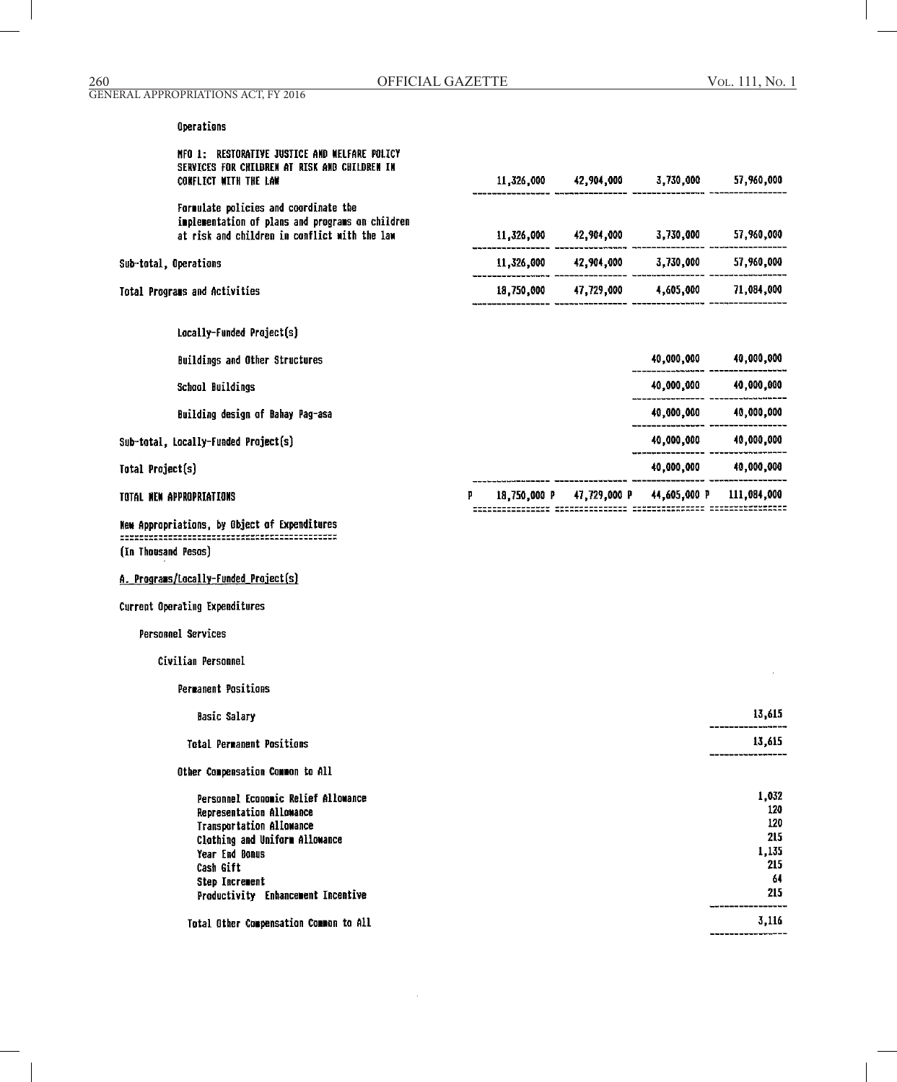# Operations

|                     | NFO 1: RESTORATIVE JUSTICE AND WELFARE POLICY<br>SERVICES FOR CHILDREN AT RISK AND CHILDREN IN<br><b>CONFLICT WITH THE LAW</b> |   | $11,326,000$ $42,904,000$ $3,730,000$ $57,960,000$          |                       |              |
|---------------------|--------------------------------------------------------------------------------------------------------------------------------|---|-------------------------------------------------------------|-----------------------|--------------|
|                     | Formulate policies and coordinate the                                                                                          |   |                                                             |                       |              |
|                     | implementation of plans and programs on children<br>at risk and children in conflict with the law                              |   | $11,326,000$ $42,904,000$ $3,730,000$ $57,960,000$          |                       |              |
|                     | Sub-total, Operations                                                                                                          |   | $11,326,000 \t 42,904,000 \t 3,730,000 \t 57,960,000$       |                       |              |
|                     | Total Programs and Activities                                                                                                  |   | 18,750,000 47,729,000 4,605,000 71,084,000                  |                       |              |
|                     | Locally-Funded Project(s)                                                                                                      |   |                                                             |                       |              |
|                     | Buildings and Other Structures                                                                                                 |   |                                                             | 40,000,000 40,000,000 |              |
|                     | <b>School Buildings</b>                                                                                                        |   |                                                             |                       |              |
|                     | Building design of Bahay Pag-asa                                                                                               |   |                                                             | 40,000,000 40,000,000 |              |
|                     | Sub-total, Locally-Funded Project(s)                                                                                           |   |                                                             | 40,000,000 40,000,000 |              |
| Total Project(s)    |                                                                                                                                |   |                                                             | 40,000,000 40,000,000 |              |
|                     | TOTAL NEW APPROPRIATIONS                                                                                                       | p | 18,750,000 P 47,729,000 P 44,605,000 P 111,084,000          |                       |              |
|                     | New Appropriations, by Object of Expenditures                                                                                  |   | tiitiitiitiitik AKKASIILIITII TIKYKKAARASTA TIITIKKKKKAKARA |                       |              |
| (In Thousand Pesos) |                                                                                                                                |   |                                                             |                       |              |
|                     | A. Programs/Locally-Funded Project(s)                                                                                          |   |                                                             |                       |              |
|                     | Current Operating Expenditures                                                                                                 |   |                                                             |                       |              |
|                     | <b>Personnel Services</b>                                                                                                      |   |                                                             |                       |              |
|                     | Civilian Personnel                                                                                                             |   |                                                             |                       |              |
|                     | Permanent Positions                                                                                                            |   |                                                             |                       |              |
|                     | <b>Basic Salary</b>                                                                                                            |   |                                                             |                       | 13,615       |
|                     | <b>Total Permanent Positions</b>                                                                                               |   |                                                             |                       | 13,615       |
|                     | Other Compensation Common to All                                                                                               |   |                                                             |                       |              |
|                     | Personnel Economic Relief Allowance<br>Representation Allowance                                                                |   |                                                             |                       | 1,032<br>120 |
|                     | Transportation Allowance                                                                                                       |   |                                                             |                       | 120<br>215   |
|                     | Clothing and Uniform Allowance<br>Year End Bonus                                                                               |   |                                                             |                       | 1,135        |
|                     | Cash Gift                                                                                                                      |   |                                                             |                       | 215          |
|                     | Step Increment                                                                                                                 |   |                                                             |                       | 64           |
|                     | Productivity Enhancement Incentive                                                                                             |   |                                                             |                       | 215          |
|                     | Total Other Compensation Common to All                                                                                         |   |                                                             |                       | 3,116        |

---------------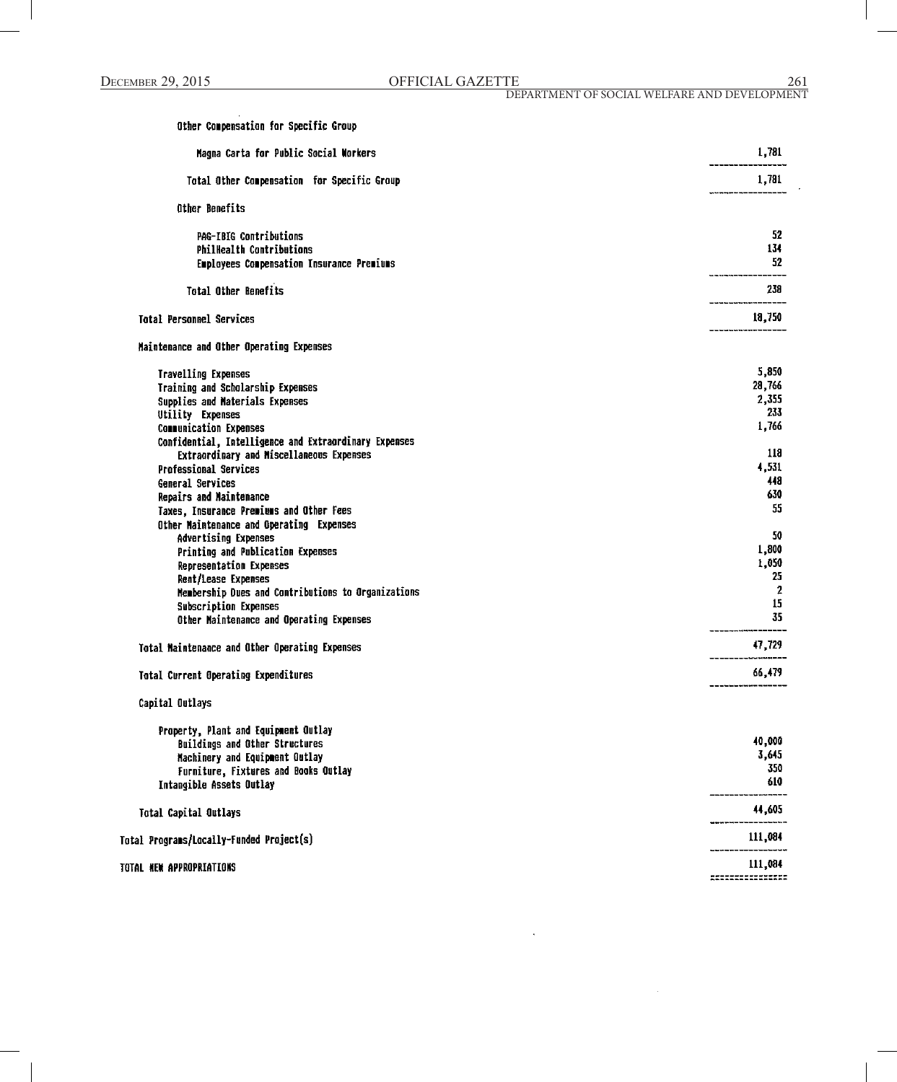| Other Compensation for Specific Group                 |                  |
|-------------------------------------------------------|------------------|
| Magna Carta for Public Social Workers                 | 1,781            |
| Total Other Compensation for Specific Group           | 1,781            |
| <b>Other Benefits</b>                                 |                  |
| PAG-IBIG Contributions                                | 52               |
| <b>PhilHealth Contributions</b>                       | 134              |
| Employees Compensation Insurance Premiums             | 52               |
| <b>Total Other Benefits</b>                           | 238              |
| <b>Total Personnel Services</b>                       | 18,750           |
| Maintenance and Other Operating Expenses              |                  |
| Travelling Expenses                                   | 5,850            |
| Training and Scholarship Expenses                     | 28,766           |
| Supplies and Materials Expenses                       | 2,355            |
| Utility Expenses                                      | 233              |
| <b>Communication Expenses</b>                         | 1,766            |
| Confidential, Intelligence and Extraordinary Expenses |                  |
| Extraordinary and Miscellaneous Expenses              | 118              |
| <b>Professional Services</b>                          | 4,531            |
| General Services                                      | 448              |
| Repairs and Maintenance                               | 630              |
|                                                       | 55               |
| Taxes, Insurance Premiums and Other Fees              |                  |
| Other Maintenance and Operating Expenses              | 50               |
| Advertising Expenses                                  |                  |
| Printing and Publication Expenses                     | 1,800            |
| Representation Expenses                               | 1,050            |
| Rent/Lease Expenses                                   | 25               |
| Membership Dues and Contributions to Organizations    | $\boldsymbol{2}$ |
| <b>Subscription Expenses</b>                          | 15               |
| Other Maintenance and Operating Expenses              | 35               |
| Total Maintenance and Other Operating Expenses        | 47,729           |
| Total Current Operating Expenditures                  | 66,479           |
| Capital Outlays                                       |                  |
| Property, Plant and Equipment Outlay                  |                  |
| <b>Buildings and Other Structures</b>                 | 40,000           |
| Machinery and Equipment Outlay                        | 3,645            |
| Furniture, Fixtures and Books Outlay                  | 350              |
| Intangible Assets Outlay                              | 610              |
| <b>Total Capital Outlays</b>                          | 44,605           |
|                                                       | 111,084          |
| Total Programs/Locally-Funded Project(s)              |                  |
| TOTAL HEW APPROPRIATIONS                              | 111,084          |
|                                                       |                  |
|                                                       |                  |